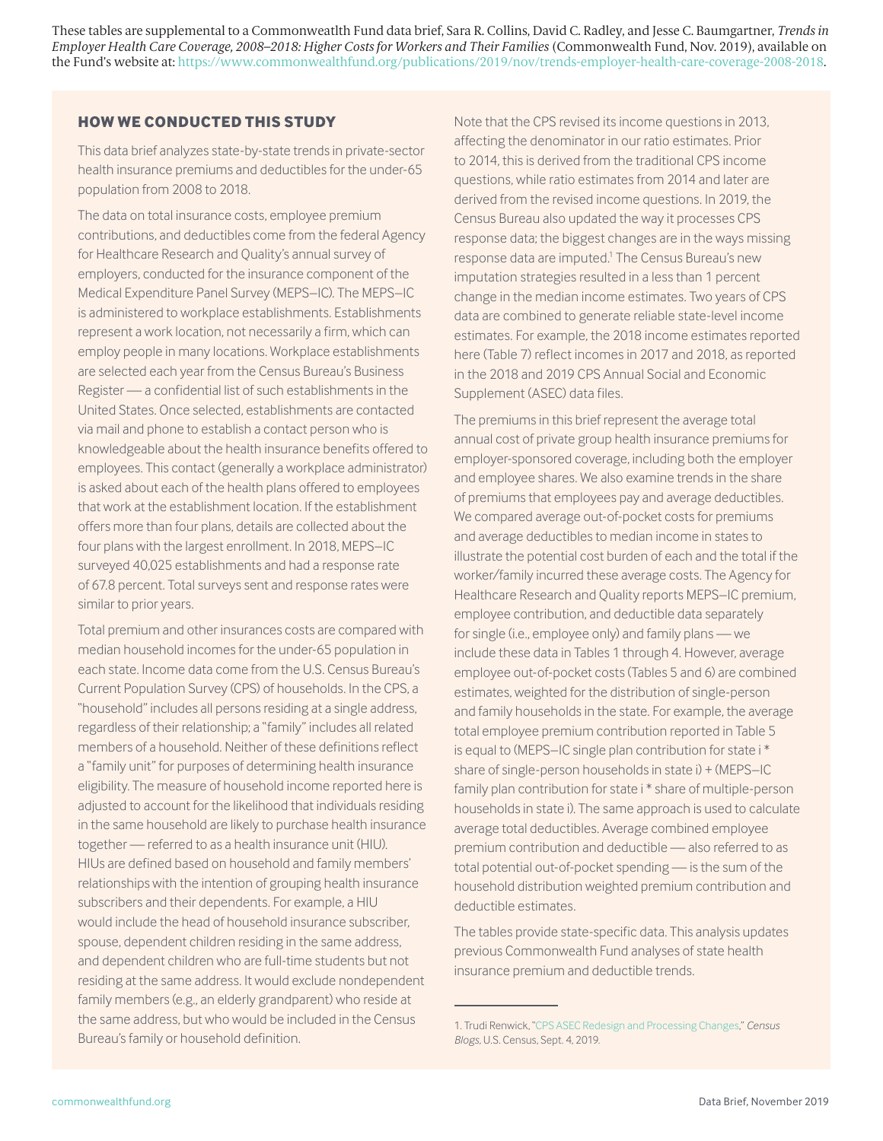These tables are supplemental to a Commonweatlth Fund data brief, Sara R. Collins, David C. Radley, and Jesse C. Baumgartner, *Trends in Employer Health Care Coverage, 2008–2018: Higher Costs for Workers and Their Families* (Commonwealth Fund, Nov. 2019), available on the Fund's website at:<https://www.commonwealthfund.org/publications/2019/nov/trends-employer-health-care-coverage-2008-2018>.

#### **HOW WE CONDUCTED THIS STUDY**

This data brief analyzes state-by-state trends in private-sector health insurance premiums and deductibles for the under-65 population from 2008 to 2018.

The data on total insurance costs, employee premium contributions, and deductibles come from the federal Agency for Healthcare Research and Quality's annual survey of employers, conducted for the insurance component of the Medical Expenditure Panel Survey (MEPS–IC). The MEPS–IC is administered to workplace establishments. Establishments represent a work location, not necessarily a firm, which can employ people in many locations. Workplace establishments are selected each year from the Census Bureau's Business Register — a confidential list of such establishments in the United States. Once selected, establishments are contacted via mail and phone to establish a contact person who is knowledgeable about the health insurance benefits offered to employees. This contact (generally a workplace administrator) is asked about each of the health plans offered to employees that work at the establishment location. If the establishment offers more than four plans, details are collected about the four plans with the largest enrollment. In 2018, MEPS–IC surveyed 40,025 establishments and had a response rate of 67.8 percent. Total surveys sent and response rates were similar to prior years.

Total premium and other insurances costs are compared with median household incomes for the under-65 population in each state. Income data come from the U.S. Census Bureau's Current Population Survey (CPS) of households. In the CPS, a "household" includes all persons residing at a single address, regardless of their relationship; a "family" includes all related members of a household. Neither of these definitions reflect a "family unit" for purposes of determining health insurance eligibility. The measure of household income reported here is adjusted to account for the likelihood that individuals residing in the same household are likely to purchase health insurance together — referred to as a health insurance unit (HIU). HIUs are defined based on household and family members' relationships with the intention of grouping health insurance subscribers and their dependents. For example, a HIU would include the head of household insurance subscriber, spouse, dependent children residing in the same address, and dependent children who are full-time students but not residing at the same address. It would exclude nondependent family members (e.g., an elderly grandparent) who reside at the same address, but who would be included in the Census Bureau's family or household definition.

Note that the CPS revised its income questions in 2013, affecting the denominator in our ratio estimates. Prior to 2014, this is derived from the traditional CPS income questions, while ratio estimates from 2014 and later are derived from the revised income questions. In 2019, the Census Bureau also updated the way it processes CPS response data; the biggest changes are in the ways missing response data are imputed.<sup>1</sup> The Census Bureau's new imputation strategies resulted in a less than 1 percent change in the median income estimates. Two years of CPS data are combined to generate reliable state-level income estimates. For example, the 2018 income estimates reported here (Table 7) reflect incomes in 2017 and 2018, as reported in the 2018 and 2019 CPS Annual Social and Economic Supplement (ASEC) data files.

The premiums in this brief represent the average total annual cost of private group health insurance premiums for employer-sponsored coverage, including both the employer and employee shares. We also examine trends in the share of premiums that employees pay and average deductibles. We compared average out-of-pocket costs for premiums and average deductibles to median income in states to illustrate the potential cost burden of each and the total if the worker/family incurred these average costs. The Agency for Healthcare Research and Quality reports MEPS–IC premium, employee contribution, and deductible data separately for single (i.e., employee only) and family plans — we include these data in Tables 1 through 4. However, average employee out-of-pocket costs (Tables 5 and 6) are combined estimates, weighted for the distribution of single-person and family households in the state. For example, the average total employee premium contribution reported in Table 5 is equal to (MEPS–IC single plan contribution for state i \* share of single-person households in state i) + (MEPS–IC family plan contribution for state i \* share of multiple-person households in state i). The same approach is used to calculate average total deductibles. Average combined employee premium contribution and deductible — also referred to as total potential out-of-pocket spending — is the sum of the household distribution weighted premium contribution and deductible estimates.

The tables provide state-specific data. This analysis updates previous Commonwealth Fund analyses of state health insurance premium and deductible trends.

<sup>1.</sup> Trudi Renwick, "[CPS ASEC Redesign and Processing Changes,](https://www.census.gov/newsroom/blogs/research-matters/2019/09/cps-asec.html)" *Census Blogs,* U.S. Census, Sept. 4, 2019.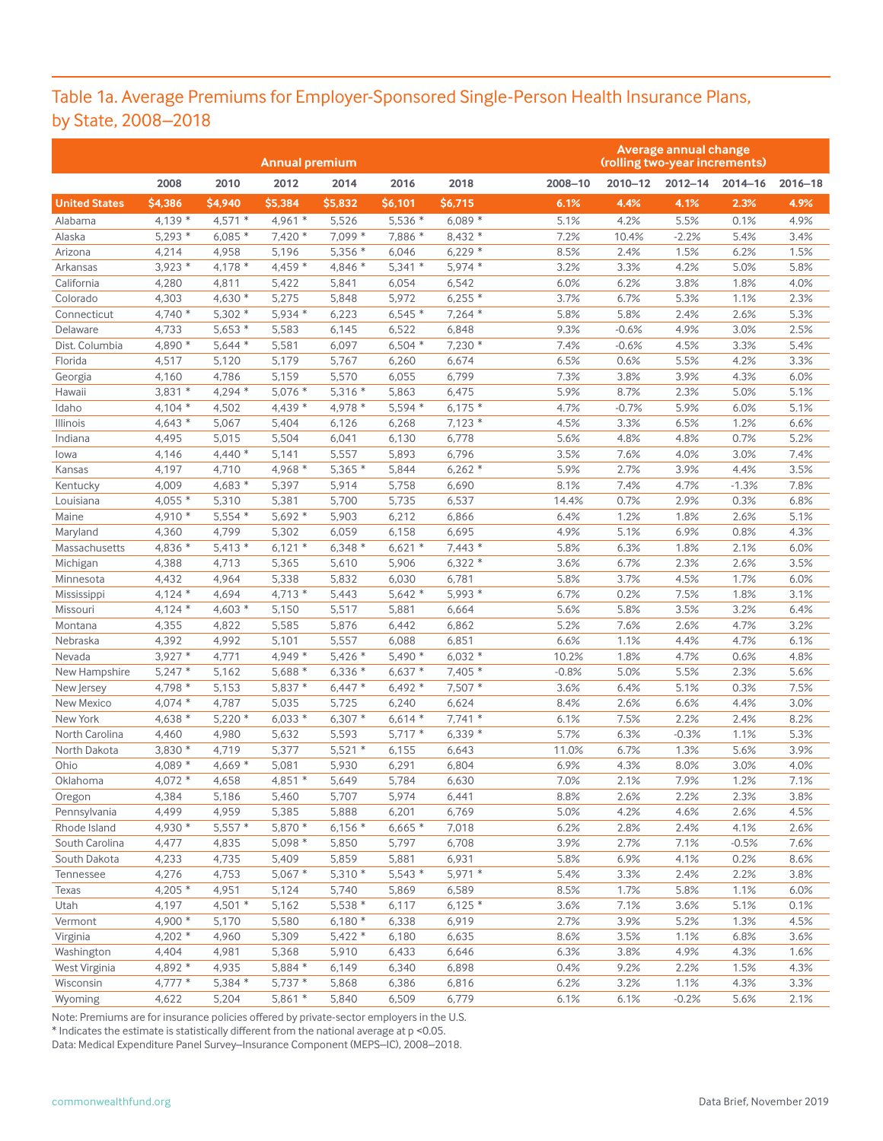# Table 1a. Average Premiums for Employer-Sponsored Single-Person Health Insurance Plans, by State, 2008–2018

|                      |                      |          | <b>Annual premium</b> |           |          |                      |         | (rolling two-year increments) | Average annual change |             |              |
|----------------------|----------------------|----------|-----------------------|-----------|----------|----------------------|---------|-------------------------------|-----------------------|-------------|--------------|
|                      | 2008                 | 2010     | 2012                  | 2014      | 2016     | 2018                 | 2008-10 | $2010 - 12$                   | $2012 - 14$           | $2014 - 16$ | $2016 - 18$  |
| <b>United States</b> | \$4,386              | \$4,940  | \$5,384               | \$5,832   | \$6,101  | \$6,715              | 6.1%    | 4.4%                          | 4.1%                  | 2.3%        | 4.9%         |
| Alabama              | $4,139*$             | $4,571*$ | $4.961*$              | 5,526     | $5,536*$ | $6,089*$             | 5.1%    | 4.2%                          | 5.5%                  | 0.1%        | 4.9%         |
| Alaska               | $5,293*$             | $6,085*$ | $7,420*$              | $7,099*$  | 7,886 *  | $8,432*$             | 7.2%    | 10.4%                         | $-2.2%$               | 5.4%        | 3.4%         |
| Arizona              | 4,214                | 4,958    | 5,196                 | $5,356*$  | 6,046    | $6,229*$             | 8.5%    | 2.4%                          | 1.5%                  | 6.2%        | 1.5%         |
| Arkansas             | $3,923*$             | $4,178*$ | $4,459*$              | 4,846 *   | $5,341*$ | $5,974*$             | 3.2%    | 3.3%                          | 4.2%                  | 5.0%        | 5.8%         |
| California           | 4,280                | 4,811    | 5,422                 | 5,841     | 6,054    | 6,542                | 6.0%    | 6.2%                          | 3.8%                  | 1.8%        | 4.0%         |
| Colorado             | 4,303                | $4,630*$ | 5,275                 | 5,848     | 5,972    | $6,255*$             | 3.7%    | 6.7%                          | 5.3%                  | 1.1%        | 2.3%         |
| Connecticut          | $4,740*$             | $5,302*$ | $5,934*$              | 6,223     | $6,545*$ | $7,264*$             | 5.8%    | 5.8%                          | 2.4%                  | 2.6%        | 5.3%         |
| Delaware             | 4,733                | $5,653*$ | 5,583                 | 6,145     | 6,522    | 6,848                | 9.3%    | $-0.6%$                       | 4.9%                  | 3.0%        | 2.5%         |
| Dist. Columbia       | 4,890 *              | $5,644*$ | 5,581                 | 6,097     | $6,504*$ | $7,230*$             | 7.4%    | $-0.6%$                       | 4.5%                  | 3.3%        | 5.4%         |
| Florida              | 4,517                | 5,120    | 5,179                 | 5,767     | 6,260    | 6,674                | 6.5%    | 0.6%                          | 5.5%                  | 4.2%        | 3.3%         |
| Georgia              | 4,160                | 4,786    | 5,159                 | 5,570     | 6,055    | 6,799                | 7.3%    | 3.8%                          | 3.9%                  | 4.3%        | 6.0%         |
| Hawaii               | $3,831*$             | $4,294*$ | $5,076*$              | $5,316*$  | 5,863    | 6,475                | 5.9%    | 8.7%                          | 2.3%                  | 5.0%        | 5.1%         |
| Idaho                | $4,104*$             | 4,502    | $4,439*$              | 4,978 $*$ | $5,594*$ | $6,175*$             | 4.7%    | $-0.7%$                       | 5.9%                  | 6.0%        | 5.1%         |
| Illinois             | $4,643*$             | 5,067    | 5,404                 | 6,126     | 6,268    | $7,123*$             | 4.5%    | 3.3%                          | 6.5%                  | 1.2%        | 6.6%         |
| Indiana              | 4,495                | 5,015    | 5,504                 | 6,041     | 6,130    | 6,778                | 5.6%    | 4.8%                          | 4.8%                  | 0.7%        | 5.2%         |
| lowa                 | 4,146                | $4,440*$ | 5,141                 | 5,557     | 5,893    | 6,796                | 3.5%    | 7.6%                          | 4.0%                  | 3.0%        | 7.4%         |
| Kansas               | 4,197                | 4,710    | $4,968*$              | $5,365*$  | 5,844    | $6,262*$             | 5.9%    | 2.7%                          | 3.9%                  | 4.4%        | 3.5%         |
| Kentucky             | 4,009                | $4,683*$ | 5,397                 | 5,914     | 5,758    | 6,690                | 8.1%    | 7.4%                          | 4.7%                  | $-1.3%$     | 7.8%         |
| Louisiana            | $4,055*$             | 5,310    | 5,381                 | 5,700     | 5,735    | 6,537                | 14.4%   | 0.7%                          | 2.9%                  | 0.3%        | 6.8%         |
| Maine                | $4,910*$             | $5,554*$ | $5,692*$              | 5,903     | 6,212    | 6,866                | 6.4%    | 1.2%                          | 1.8%                  | 2.6%        | 5.1%         |
| Maryland             | 4,360                | 4,799    | 5,302                 | 6,059     | 6,158    | 6,695                | 4.9%    | 5.1%                          | 6.9%                  | 0.8%        | 4.3%         |
| Massachusetts        | $4,836*$             | $5,413*$ | $6,121*$              | $6,348*$  | $6,621*$ | $7,443*$             | 5.8%    | 6.3%                          | 1.8%                  | 2.1%        | 6.0%         |
| Michigan             | 4,388                | 4,713    | 5,365                 | 5,610     | 5,906    | $6,322*$             | 3.6%    | 6.7%                          | 2.3%                  | 2.6%        | 3.5%         |
| Minnesota            | 4,432                | 4,964    | 5,338                 | 5,832     | 6,030    | 6,781                | 5.8%    | 3.7%                          | 4.5%                  | 1.7%        | 6.0%         |
| Mississippi          | $4,124*$             | 4,694    | $4,713*$              | 5,443     | $5,642*$ | $5,993*$             | 6.7%    | 0.2%                          | 7.5%                  | 1.8%        | 3.1%         |
| Missouri             | $4,124*$             | $4,603*$ | 5,150                 | 5,517     | 5,881    | 6,664                | 5.6%    | 5.8%                          | 3.5%                  | 3.2%        | 6.4%         |
|                      | 4,355                | 4,822    | 5,585                 | 5,876     | 6,442    | 6,862                | 5.2%    | 7.6%                          | 2.6%                  | 4.7%        | 3.2%         |
| Montana              |                      |          |                       |           |          |                      |         | 1.1%                          | 4.4%                  | 4.7%        | 6.1%         |
| Nebraska             | 4,392                | 4,992    | 5,101                 | 5,557     | 6,088    | 6,851                | 6.6%    |                               |                       |             |              |
| Nevada               | $3,927*$<br>$5,247*$ | 4,771    | $4,949*$              | $5,426*$  | $5,490*$ | $6,032*$<br>$7,405*$ | 10.2%   | 1.8%                          | 4.7%<br>5.5%          | 0.6%        | 4.8%<br>5.6% |
| New Hampshire        |                      | 5,162    | $5,688*$              | $6,336*$  | $6,637*$ |                      | $-0.8%$ | 5.0%                          |                       | 2.3%        |              |
| New Jersey           | $4,798*$             | 5,153    | $5,837*$              | $6,447*$  | $6,492*$ | $7,507*$             | 3.6%    | 6.4%                          | 5.1%                  | 0.3%        | 7.5%         |
| New Mexico           | $4,074*$             | 4,787    | 5,035                 | 5,725     | 6,240    | 6,624                | 8.4%    | 2.6%                          | 6.6%                  | 4.4%        | 3.0%         |
| New York             | $4,638*$             | $5,220*$ | $6,033*$              | $6,307*$  | $6,614*$ | $7,741*$             | 6.1%    | 7.5%                          | 2.2%                  | 2.4%        | 8.2%         |
| North Carolina       | 4,460                | 4,980    | 5,632                 | 5,593     | $5,717*$ | $6,339*$             | 5.7%    | 6.3%                          | $-0.3%$               | 1.1%        | 5.3%         |
| North Dakota         | $3,830*$             | 4,719    | 5,377                 | $5,521*$  | 6,155    | 6,643                | 11.0%   | 6.7%                          | 1.3%                  | 5.6%        | 3.9%         |
| Ohio                 | 4,089 $*$            | $4,669*$ | 5,081                 | 5,930     | 6,291    | 6,804                | 6.9%    | 4.3%                          | 8.0%                  | 3.0%        | 4.0%         |
| Oklahoma             | $4,072*$             | 4,658    | $4,851*$              | 5,649     | 5,784    | 6,630                | 7.0%    | 2.1%                          | 7.9%                  | 1.2%        | 7.1%         |
| Oregon               | 4,384                | 5,186    | 5,460                 | 5,707     | 5,974    | 6,441                | 8.8%    | 2.6%                          | 2.2%                  | 2.3%        | 3.8%         |
| Pennsylvania         | 4,499                | 4,959    | 5,385                 | 5,888     | 6,201    | 6,769                | 5.0%    | 4.2%                          | 4.6%                  | 2.6%        | 4.5%         |
| Rhode Island         | 4,930 *              | $5,557*$ | 5,870 *               | $6,156*$  | $6,665*$ | 7,018                | 6.2%    | 2.8%                          | 2.4%                  | 4.1%        | 2.6%         |
| South Carolina       | 4,477                | 4,835    | $5,098*$              | 5,850     | 5,797    | 6,708                | 3.9%    | 2.7%                          | 7.1%                  | $-0.5%$     | 7.6%         |
| South Dakota         | 4,233                | 4,735    | 5,409                 | 5,859     | 5,881    | 6,931                | 5.8%    | 6.9%                          | 4.1%                  | 0.2%        | 8.6%         |
| Tennessee            | 4,276                | 4,753    | $5,067*$              | $5,310*$  | $5,543*$ | $5,971*$             | 5.4%    | 3.3%                          | 2.4%                  | 2.2%        | 3.8%         |
| Texas                | $4,205*$             | 4,951    | 5,124                 | 5,740     | 5,869    | 6,589                | 8.5%    | 1.7%                          | 5.8%                  | 1.1%        | 6.0%         |
| Utah                 | 4,197                | $4,501*$ | 5,162                 | $5,538*$  | 6,117    | $6,125*$             | 3.6%    | 7.1%                          | 3.6%                  | 5.1%        | 0.1%         |
| Vermont              | 4,900 *              | 5,170    | 5,580                 | $6,180*$  | 6,338    | 6,919                | 2.7%    | 3.9%                          | 5.2%                  | 1.3%        | 4.5%         |
| Virginia             | $4,202*$             | 4,960    | 5,309                 | $5,422*$  | 6,180    | 6,635                | 8.6%    | 3.5%                          | 1.1%                  | 6.8%        | 3.6%         |
| Washington           | 4,404                | 4,981    | 5,368                 | 5,910     | 6,433    | 6,646                | 6.3%    | 3.8%                          | 4.9%                  | 4.3%        | 1.6%         |
| West Virginia        | 4,892 *              | 4,935    | $5,884*$              | 6,149     | 6,340    | 6,898                | 0.4%    | 9.2%                          | 2.2%                  | 1.5%        | 4.3%         |
| Wisconsin            | $4,777*$             | $5,384*$ | $5,737*$              | 5,868     | 6,386    | 6,816                | 6.2%    | 3.2%                          | 1.1%                  | 4.3%        | 3.3%         |
| Wyoming              | 4,622                | 5,204    | $5,861*$              | 5,840     | 6,509    | 6,779                | 6.1%    | 6.1%                          | $-0.2%$               | 5.6%        | 2.1%         |

Note: Premiums are for insurance policies offered by private-sector employers in the U.S.

\* Indicates the estimate is statistically different from the national average at p <0.05.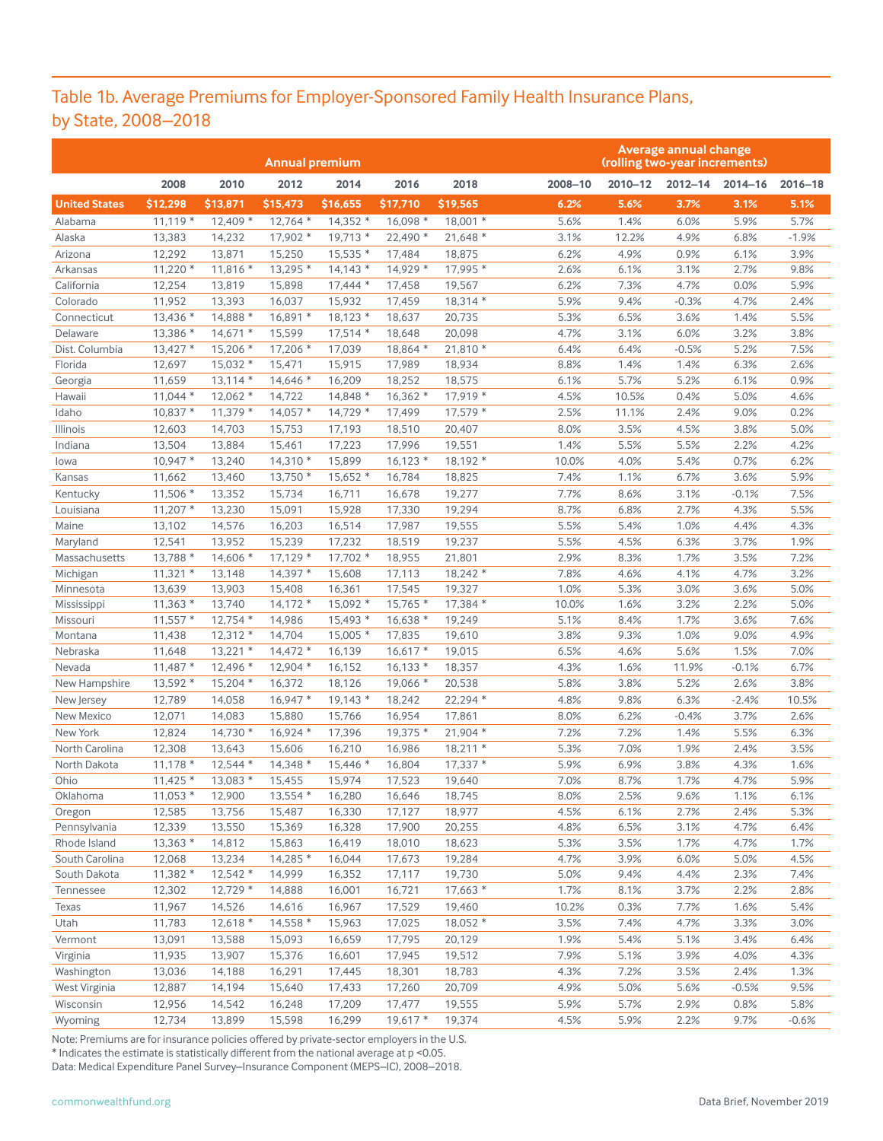# Table 1b. Average Premiums for Employer-Sponsored Family Health Insurance Plans, by State, 2008–2018

|                      | <b>Annual premium</b> |           |           |           |           |           |         |             | Average annual change<br>(rolling two-year increments) |             |             |  |  |  |  |
|----------------------|-----------------------|-----------|-----------|-----------|-----------|-----------|---------|-------------|--------------------------------------------------------|-------------|-------------|--|--|--|--|
|                      | 2008                  | 2010      | 2012      | 2014      | 2016      | 2018      | 2008-10 | $2010 - 12$ | $2012 - 14$                                            | $2014 - 16$ | $2016 - 18$ |  |  |  |  |
| <b>United States</b> | \$12,298              | \$13,871  | \$15,473  | \$16,655  | \$17,710  | \$19,565  | 6.2%    | 5.6%        | 3.7%                                                   | 3.1%        | 5.1%        |  |  |  |  |
| Alabama              | $11,119*$             | $12,409*$ | $12,764*$ | $14,352*$ | $16.098*$ | $18,001*$ | 5.6%    | 1.4%        | 6.0%                                                   | 5.9%        | 5.7%        |  |  |  |  |
| Alaska               | 13,383                | 14,232    | 17,902 *  | $19,713*$ | 22,490 *  | $21,648*$ | 3.1%    | 12.2%       | 4.9%                                                   | 6.8%        | $-1.9%$     |  |  |  |  |
| Arizona              | 12,292                | 13,871    | 15,250    | $15,535*$ | 17,484    | 18,875    | 6.2%    | 4.9%        | 0.9%                                                   | 6.1%        | 3.9%        |  |  |  |  |
| Arkansas             | $11,220*$             | $11,816*$ | $13,295*$ | $14,143*$ | 14,929 *  | 17,995 *  | 2.6%    | 6.1%        | 3.1%                                                   | 2.7%        | 9.8%        |  |  |  |  |
| California           | 12,254                | 13,819    | 15,898    | $17,444*$ | 17,458    | 19,567    | 6.2%    | 7.3%        | 4.7%                                                   | 0.0%        | 5.9%        |  |  |  |  |
| Colorado             | 11,952                | 13,393    | 16,037    | 15,932    | 17,459    | $18.314*$ | 5.9%    | 9.4%        | $-0.3%$                                                | 4.7%        | 2.4%        |  |  |  |  |
| Connecticut          | $13,436*$             | 14,888 *  | $16,891*$ | $18,123*$ | 18,637    | 20,735    | 5.3%    | 6.5%        | 3.6%                                                   | 1.4%        | 5.5%        |  |  |  |  |
| Delaware             | 13,386 *              | $14,671*$ | 15,599    | $17,514*$ | 18,648    | 20,098    | 4.7%    | 3.1%        | 6.0%                                                   | 3.2%        | 3.8%        |  |  |  |  |
| Dist. Columbia       | $13,427*$             | 15,206 *  | $17,206*$ | 17,039    | 18,864 *  | 21,810 *  | 6.4%    | 6.4%        | $-0.5%$                                                | 5.2%        | 7.5%        |  |  |  |  |
| Florida              | 12,697                | $15,032*$ | 15,471    | 15,915    | 17,989    | 18,934    | 8.8%    | 1.4%        | 1.4%                                                   | 6.3%        | 2.6%        |  |  |  |  |
| Georgia              | 11,659                | $13,114*$ | $14,646*$ | 16,209    | 18,252    | 18,575    | 6.1%    | 5.7%        | 5.2%                                                   | 6.1%        | 0.9%        |  |  |  |  |
| Hawaii               | $11,044*$             | $12,062*$ | 14,722    | 14,848 *  | $16,362*$ | $17,919*$ | 4.5%    | 10.5%       | 0.4%                                                   | 5.0%        | 4.6%        |  |  |  |  |
| Idaho                | $10,837*$             | $11,379*$ | $14,057*$ | $14,729*$ | 17,499    | $17,579*$ | 2.5%    | 11.1%       | 2.4%                                                   | 9.0%        | 0.2%        |  |  |  |  |
| Illinois             | 12,603                | 14,703    | 15,753    | 17,193    | 18,510    | 20,407    | 8.0%    | 3.5%        | 4.5%                                                   | 3.8%        | 5.0%        |  |  |  |  |
| Indiana              | 13,504                | 13,884    | 15,461    | 17,223    | 17,996    | 19,551    | 1.4%    | 5.5%        | 5.5%                                                   | 2.2%        | 4.2%        |  |  |  |  |
| lowa                 | $10,947*$             | 13,240    | $14,310*$ | 15,899    | $16,123*$ | $18,192*$ | 10.0%   | 4.0%        | 5.4%                                                   | 0.7%        | 6.2%        |  |  |  |  |
| Kansas               | 11,662                | 13,460    | $13,750*$ | $15,652*$ | 16,784    | 18,825    | 7.4%    | 1.1%        | 6.7%                                                   | 3.6%        | 5.9%        |  |  |  |  |
| Kentucky             | $11,506*$             | 13,352    | 15,734    | 16,711    | 16,678    | 19,277    | 7.7%    | 8.6%        | 3.1%                                                   | $-0.1%$     | 7.5%        |  |  |  |  |
| Louisiana            | $11,207*$             | 13,230    | 15,091    | 15,928    | 17,330    | 19,294    | 8.7%    | 6.8%        | 2.7%                                                   | 4.3%        | 5.5%        |  |  |  |  |
| Maine                | 13,102                | 14,576    | 16,203    | 16,514    | 17,987    | 19,555    | 5.5%    | 5.4%        | 1.0%                                                   | 4.4%        | 4.3%        |  |  |  |  |
| Maryland             | 12,541                | 13.952    | 15,239    | 17,232    | 18,519    | 19,237    | 5.5%    | 4.5%        | 6.3%                                                   | 3.7%        | 1.9%        |  |  |  |  |
| Massachusetts        | 13,788 *              | $14,606*$ | $17,129*$ | $17,702*$ | 18,955    | 21,801    | 2.9%    | 8.3%        | 1.7%                                                   | 3.5%        | 7.2%        |  |  |  |  |
| Michigan             | $11,321*$             | 13,148    | $14,397*$ | 15,608    | 17,113    | $18,242*$ | 7.8%    | 4.6%        | 4.1%                                                   | 4.7%        | 3.2%        |  |  |  |  |
| Minnesota            | 13,639                | 13,903    | 15,408    | 16,361    | 17,545    | 19,327    | 1.0%    | 5.3%        | 3.0%                                                   | 3.6%        | 5.0%        |  |  |  |  |
| Mississippi          | $11,363*$             | 13,740    | $14,172*$ | 15,092 *  | $15,765*$ | $17,384*$ | 10.0%   | 1.6%        | 3.2%                                                   | 2.2%        | 5.0%        |  |  |  |  |
| Missouri             | $11,557*$             | $12,754*$ | 14,986    | 15,493 *  | $16,638*$ | 19,249    | 5.1%    | 8.4%        | 1.7%                                                   | 3.6%        | 7.6%        |  |  |  |  |
| Montana              | 11,438                | $12,312*$ | 14,704    | $15,005*$ | 17,835    | 19,610    | 3.8%    | 9.3%        | 1.0%                                                   | 9.0%        | 4.9%        |  |  |  |  |
| Nebraska             | 11,648                | $13,221*$ | $14,472*$ | 16,139    | $16,617*$ | 19,015    | 6.5%    | 4.6%        | 5.6%                                                   | 1.5%        | 7.0%        |  |  |  |  |
| Nevada               | $11,487*$             | 12,496 *  | $12,904*$ | 16,152    | $16,133*$ | 18,357    | 4.3%    | 1.6%        | 11.9%                                                  | $-0.1%$     | 6.7%        |  |  |  |  |
| New Hampshire        | $13,592*$             | $15,204*$ | 16,372    | 18,126    | 19,066 *  | 20,538    | 5.8%    | 3.8%        | 5.2%                                                   | 2.6%        | 3.8%        |  |  |  |  |
| New Jersey           | 12,789                | 14,058    | $16,947*$ | $19,143*$ | 18,242    | $22,294*$ | 4.8%    | 9.8%        | 6.3%                                                   | $-2.4%$     | 10.5%       |  |  |  |  |
| New Mexico           | 12,071                | 14,083    | 15,880    | 15,766    | 16,954    | 17,861    | 8.0%    | 6.2%        | $-0.4%$                                                | 3.7%        | 2.6%        |  |  |  |  |
| New York             | 12,824                | $14,730*$ | $16,924*$ | 17,396    | 19,375 *  | $21.904*$ | 7.2%    | 7.2%        | 1.4%                                                   | 5.5%        | 6.3%        |  |  |  |  |
| North Carolina       | 12,308                | 13.643    | 15,606    | 16,210    | 16,986    | $18,211*$ | 5.3%    | 7.0%        | 1.9%                                                   | 2.4%        | 3.5%        |  |  |  |  |
| North Dakota         | $11,178*$             | $12.544*$ | $14,348*$ | 15,446 *  | 16,804    | $17,337*$ | 5.9%    | 6.9%        | 3.8%                                                   | 4.3%        | 1.6%        |  |  |  |  |
| Ohio                 | $11,425*$             | $13,083*$ | 15,455    | 15,974    | 17,523    | 19,640    | 7.0%    | 8.7%        | 1.7%                                                   | 4.7%        | 5.9%        |  |  |  |  |
| Oklahoma             | $11,053*$             | 12,900    | $13,554*$ | 16,280    | 16,646    | 18,745    | 8.0%    | 2.5%        | 9.6%                                                   | 1.1%        | 6.1%        |  |  |  |  |
| Oregon               | 12,585                | 13,756    | 15,487    | 16,330    | 17,127    | 18,977    | 4.5%    | 6.1%        | 2.7%                                                   | 2.4%        | 5.3%        |  |  |  |  |
| Pennsylvania         | 12,339                | 13,550    | 15,369    | 16,328    | 17,900    | 20,255    | 4.8%    | 6.5%        | 3.1%                                                   | 4.7%        | 6.4%        |  |  |  |  |
| Rhode Island         | $13,363*$             | 14,812    | 15,863    | 16,419    | 18,010    | 18,623    | 5.3%    | 3.5%        | 1.7%                                                   | 4.7%        | 1.7%        |  |  |  |  |
| South Carolina       | 12,068                | 13,234    | $14,285*$ | 16,044    | 17,673    | 19,284    | 4.7%    | 3.9%        | 6.0%                                                   | 5.0%        | 4.5%        |  |  |  |  |
| South Dakota         | $11,382*$             | $12,542*$ | 14,999    | 16,352    | 17,117    | 19,730    | 5.0%    | 9.4%        | 4.4%                                                   | 2.3%        | 7.4%        |  |  |  |  |
| Tennessee            | 12,302                | 12,729 *  | 14,888    | 16,001    | 16,721    | $17,663*$ | 1.7%    | 8.1%        | 3.7%                                                   | 2.2%        | 2.8%        |  |  |  |  |
| Texas                | 11,967                | 14,526    | 14,616    | 16,967    | 17,529    | 19,460    | 10.2%   | 0.3%        | 7.7%                                                   | 1.6%        | 5.4%        |  |  |  |  |
| Utah                 | 11,783                | $12,618*$ | $14,558*$ | 15,963    | 17,025    | $18,052*$ | 3.5%    | 7.4%        | 4.7%                                                   | 3.3%        | 3.0%        |  |  |  |  |
| Vermont              | 13,091                | 13,588    | 15,093    | 16,659    | 17,795    | 20,129    | 1.9%    | 5.4%        | 5.1%                                                   | 3.4%        | 6.4%        |  |  |  |  |
| Virginia             | 11,935                | 13,907    | 15,376    | 16,601    | 17,945    | 19,512    | 7.9%    | 5.1%        | 3.9%                                                   | 4.0%        | 4.3%        |  |  |  |  |
| Washington           | 13,036                | 14,188    | 16,291    | 17,445    | 18,301    | 18,783    | 4.3%    | 7.2%        | 3.5%                                                   | 2.4%        | 1.3%        |  |  |  |  |
| West Virginia        | 12,887                | 14,194    | 15,640    | 17,433    | 17,260    | 20,709    | 4.9%    | 5.0%        | 5.6%                                                   | $-0.5%$     | 9.5%        |  |  |  |  |
| Wisconsin            | 12,956                | 14,542    | 16,248    | 17,209    | 17,477    | 19,555    | 5.9%    | 5.7%        | 2.9%                                                   | 0.8%        | 5.8%        |  |  |  |  |
| Wyoming              | 12,734                | 13,899    | 15,598    | 16,299    | $19,617*$ | 19,374    | 4.5%    | 5.9%        | 2.2%                                                   | 9.7%        | $-0.6%$     |  |  |  |  |

Note: Premiums are for insurance policies offered by private-sector employers in the U.S.

\* Indicates the estimate is statistically different from the national average at p <0.05.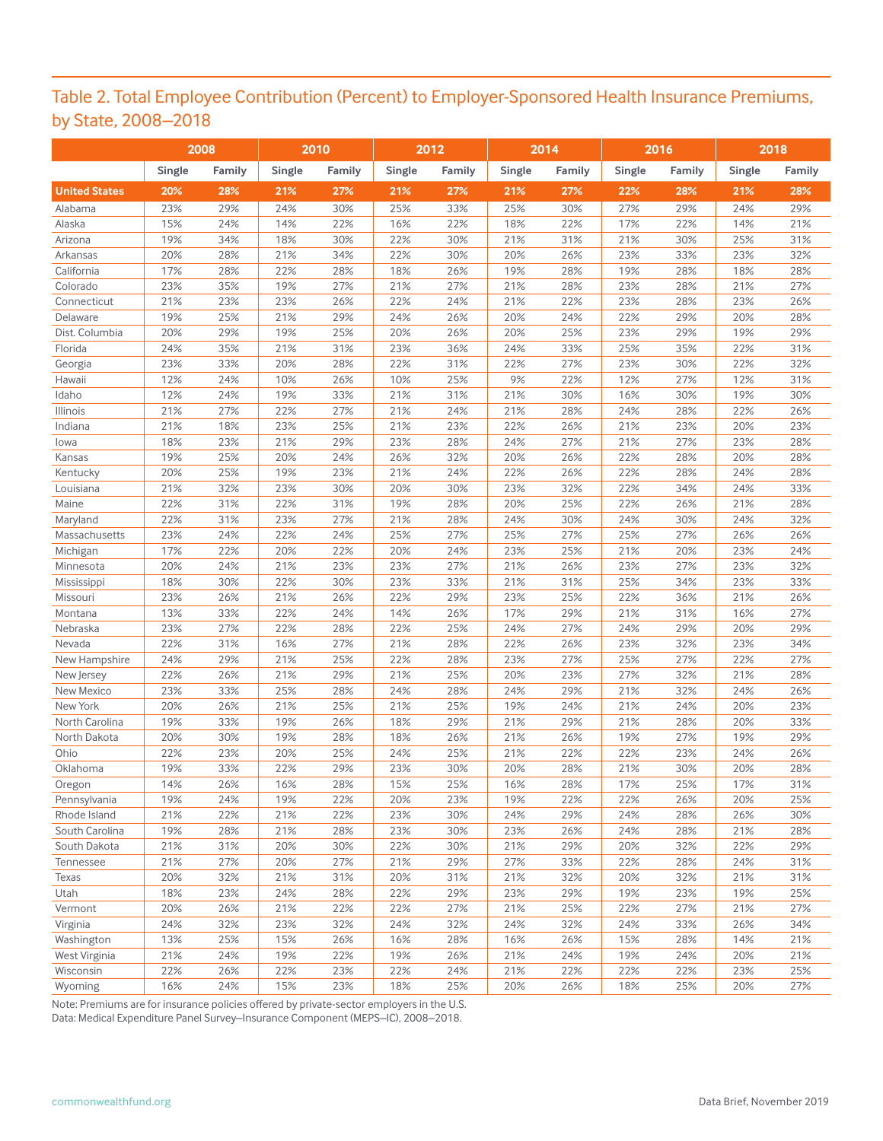# Table 2. Total Employee Contribution (Percent) to Employer-Sponsored Health Insurance Premiums, by State, 2008–2018

|                      | 2008   |        | 2010   |        | 2012   |        |        | 2014   |        | 2016   | 2018   |        |  |
|----------------------|--------|--------|--------|--------|--------|--------|--------|--------|--------|--------|--------|--------|--|
|                      | Single | Family | Single | Family | Single | Family | Single | Family | Single | Family | Single | Family |  |
| <b>United States</b> | 20%    | 28%    | 21%    | 27%    | 21%    | 27%    | 21%    | 27%    | 22%    | 28%    | 21%    | 28%    |  |
| Alabama              | 23%    | 29%    | 24%    | 30%    | 25%    | 33%    | 25%    | 30%    | 27%    | 29%    | 24%    | 29%    |  |
| Alaska               | 15%    | 24%    | 14%    | 22%    | 16%    | 22%    | 18%    | 22%    | 17%    | 22%    | 14%    | 21%    |  |
| Arizona              | 19%    | 34%    | 18%    | 30%    | 22%    | 30%    | 21%    | 31%    | 21%    | 30%    | 25%    | 31%    |  |
| Arkansas             | 20%    | 28%    | 21%    | 34%    | 22%    | 30%    | 20%    | 26%    | 23%    | 33%    | 23%    | 32%    |  |
| California           | 17%    | 28%    | 22%    | 28%    | 18%    | 26%    | 19%    | 28%    | 19%    | 28%    | 18%    | 28%    |  |
| Colorado             | 23%    | 35%    | 19%    | 27%    | 21%    | 27%    | 21%    | 28%    | 23%    | 28%    | 21%    | 27%    |  |
| Connecticut          | 21%    | 23%    | 23%    | 26%    | 22%    | 24%    | 21%    | 22%    | 23%    | 28%    | 23%    | 26%    |  |
| Delaware             | 19%    | 25%    | 21%    | 29%    | 24%    | 26%    | 20%    | 24%    | 22%    | 29%    | 20%    | 28%    |  |
| Dist. Columbia       | 20%    | 29%    | 19%    | 25%    | 20%    | 26%    | 20%    | 25%    | 23%    | 29%    | 19%    | 29%    |  |
| Florida              | 24%    | 35%    | 21%    | 31%    | 23%    | 36%    | 24%    | 33%    | 25%    | 35%    | 22%    | 31%    |  |
| Georgia              | 23%    | 33%    | 20%    | 28%    | 22%    | 31%    | 22%    | 27%    | 23%    | 30%    | 22%    | 32%    |  |
| Hawaii               | 12%    | 24%    | 10%    | 26%    | 10%    | 25%    | 9%     | 22%    | 12%    | 27%    | 12%    | 31%    |  |
| Idaho                | 12%    | 24%    | 19%    | 33%    | 21%    | 31%    | 21%    | 30%    | 16%    | 30%    | 19%    | 30%    |  |
| Illinois             | 21%    | 27%    | 22%    | 27%    | 21%    | 24%    | 21%    | 28%    | 24%    | 28%    | 22%    | 26%    |  |
| Indiana              | 21%    | 18%    | 23%    | 25%    | 21%    | 23%    | 22%    | 26%    | 21%    | 23%    | 20%    | 23%    |  |
| lowa                 | 18%    | 23%    | 21%    | 29%    | 23%    | 28%    | 24%    | 27%    | 21%    | 27%    | 23%    | 28%    |  |
| Kansas               | 19%    | 25%    | 20%    | 24%    | 26%    | 32%    | 20%    | 26%    | 22%    | 28%    | 20%    | 28%    |  |
| Kentucky             | 20%    | 25%    | 19%    | 23%    | 21%    | 24%    | 22%    | 26%    | 22%    | 28%    | 24%    | 28%    |  |
| Louisiana            | 21%    | 32%    | 23%    | 30%    | 20%    | 30%    | 23%    | 32%    | 22%    | 34%    | 24%    | 33%    |  |
| Maine                | 22%    | 31%    | 22%    | 31%    | 19%    | 28%    | 20%    | 25%    | 22%    | 26%    | 21%    | 28%    |  |
| Maryland             | 22%    | 31%    | 23%    | 27%    | 21%    | 28%    | 24%    | 30%    | 24%    | 30%    | 24%    | 32%    |  |
| Massachusetts        | 23%    | 24%    | 22%    | 24%    | 25%    | 27%    | 25%    | 27%    | 25%    | 27%    | 26%    | 26%    |  |
| Michigan             | 17%    | 22%    | 20%    | 22%    | 20%    | 24%    | 23%    | 25%    | 21%    | 20%    | 23%    | 24%    |  |
| Minnesota            | 20%    | 24%    | 21%    | 23%    | 23%    | 27%    | 21%    | 26%    | 23%    | 27%    | 23%    | 32%    |  |
| Mississippi          | 18%    | 30%    | 22%    | 30%    | 23%    | 33%    | 21%    | 31%    | 25%    | 34%    | 23%    | 33%    |  |
| Missouri             | 23%    | 26%    | 21%    | 26%    | 22%    | 29%    | 23%    | 25%    | 22%    | 36%    | 21%    | 26%    |  |
| Montana              | 13%    | 33%    | 22%    | 24%    | 14%    | 26%    | 17%    | 29%    | 21%    | 31%    | 16%    | 27%    |  |
| Nebraska             | 23%    | 27%    | 22%    | 28%    | 22%    | 25%    | 24%    | 27%    | 24%    | 29%    | 20%    | 29%    |  |
| Nevada               | 22%    | 31%    | 16%    | 27%    | 21%    | 28%    | 22%    | 26%    | 23%    | 32%    | 23%    | 34%    |  |
| New Hampshire        | 24%    | 29%    | 21%    | 25%    | 22%    | 28%    | 23%    | 27%    | 25%    | 27%    | 22%    | 27%    |  |
| New Jersey           | 22%    | 26%    | 21%    | 29%    | 21%    | 25%    | 20%    | 23%    | 27%    | 32%    | 21%    | 28%    |  |
| New Mexico           | 23%    | 33%    | 25%    | 28%    | 24%    | 28%    | 24%    | 29%    | 21%    | 32%    | 24%    | 26%    |  |
| New York             | 20%    | 26%    | 21%    | 25%    | 21%    | 25%    | 19%    | 24%    | 21%    | 24%    | 20%    | 23%    |  |
| North Carolina       | 19%    | 33%    | 19%    | 26%    | 18%    | 29%    | 21%    | 29%    | 21%    | 28%    | 20%    | 33%    |  |
| North Dakota         | 20%    | 30%    | 19%    | 28%    | 18%    | 26%    | 21%    | 26%    | 19%    | 27%    | 19%    | 29%    |  |
| Ohio                 | 22%    | 23%    | 20%    | 25%    | 24%    | 25%    | 21%    | 22%    | 22%    | 23%    | 24%    | 26%    |  |
| Oklahoma             | 19%    | 33%    | 22%    | 29%    | 23%    | 30%    | 20%    | 28%    | 21%    | 30%    | 20%    | 28%    |  |
| Oregon               | 14%    | 26%    | 16%    | 28%    | 15%    | 25%    | 16%    | 28%    | 17%    | 25%    | 17%    | 31%    |  |
| Pennsylvania         | 19%    | 24%    | 19%    | 22%    | 20%    | 23%    | 19%    | 22%    | 22%    | 26%    | 20%    | 25%    |  |
| Rhode Island         | 21%    | 22%    | 21%    | 22%    | 23%    | 30%    | 24%    | 29%    | 24%    | 28%    | 26%    | 30%    |  |
| South Carolina       | 19%    | 28%    | 21%    | 28%    | 23%    | 30%    | 23%    | 26%    | 24%    | 28%    | 21%    | 28%    |  |
| South Dakota         | 21%    | 31%    | 20%    | 30%    | 22%    | 30%    | 21%    | 29%    | 20%    | 32%    | 22%    | 29%    |  |
| Tennessee            | 21%    | 27%    | 20%    | 27%    | 21%    | 29%    | 27%    | 33%    | 22%    | 28%    | 24%    | 31%    |  |
| Texas                | 20%    | 32%    | 21%    | 31%    | 20%    | 31%    | 21%    | 32%    | 20%    | 32%    | 21%    | 31%    |  |
| Utah                 | 18%    | 23%    | 24%    | 28%    | 22%    | 29%    | 23%    | 29%    | 19%    | 23%    | 19%    | 25%    |  |
| Vermont              | 20%    | 26%    | 21%    | 22%    | 22%    | 27%    | 21%    | 25%    | 22%    | 27%    | 21%    | 27%    |  |
| Virginia             | 24%    | 32%    | 23%    | 32%    | 24%    | 32%    | 24%    | 32%    | 24%    | 33%    | 26%    | 34%    |  |
| Washington           | 13%    | 25%    | 15%    | 26%    | 16%    | 28%    | 16%    | 26%    | 15%    | 28%    | 14%    | 21%    |  |
| West Virginia        | 21%    | 24%    | 19%    | 22%    | 19%    | 26%    | 21%    | 24%    | 19%    | 24%    | 20%    | 21%    |  |
| Wisconsin            | 22%    | 26%    | 22%    | 23%    | 22%    | 24%    | 21%    | 22%    | 22%    | 22%    | 23%    | 25%    |  |
| Wyoming              | 16%    | 24%    | 15%    | 23%    | 18%    | 25%    | 20%    | 26%    | 18%    | 25%    | 20%    | 27%    |  |

Note: Premiums are for insurance policies offered by private-sector employers in the U.S.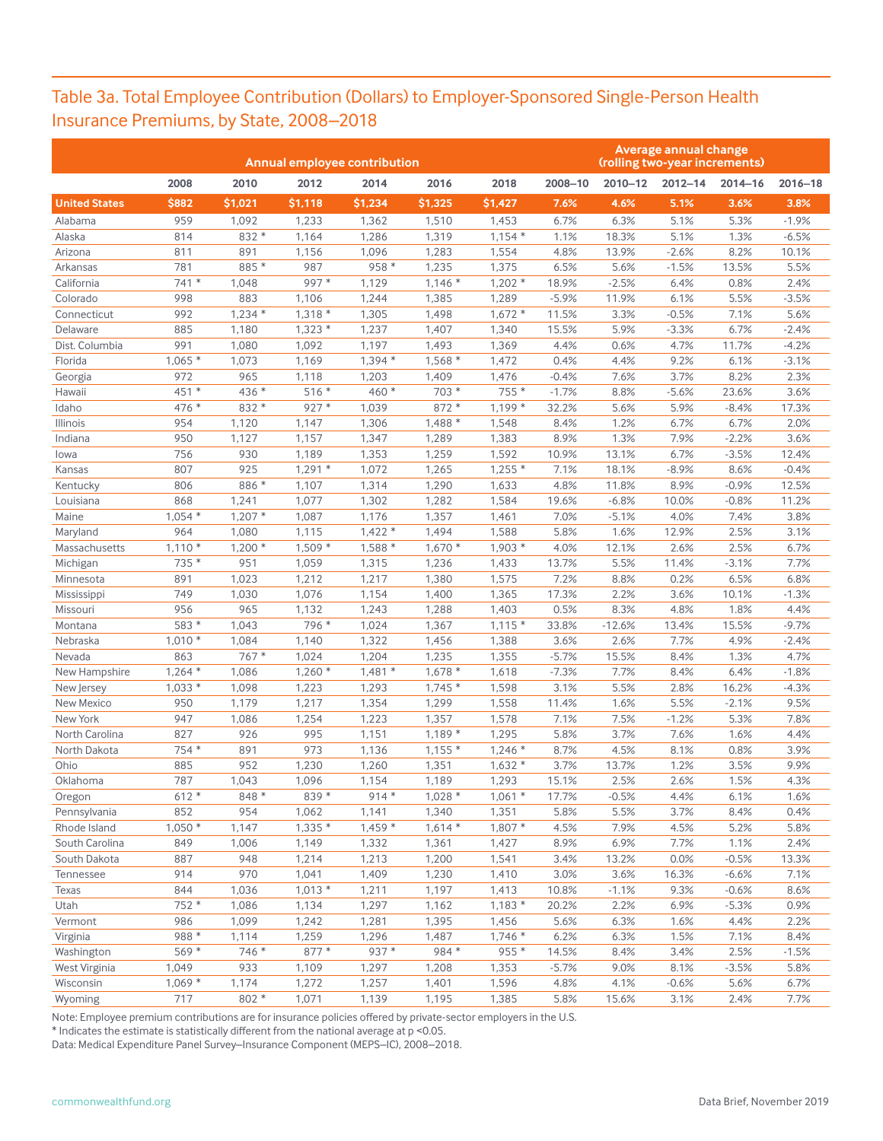## Table 3a. Total Employee Contribution (Dollars) to Employer-Sponsored Single-Person Health Insurance Premiums, by State, 2008–2018

|                      |          |          | <b>Annual employee contribution</b> |          |          | <b>Average annual change</b><br>(rolling two-year increments) |         |             |             |             |             |  |  |
|----------------------|----------|----------|-------------------------------------|----------|----------|---------------------------------------------------------------|---------|-------------|-------------|-------------|-------------|--|--|
|                      | 2008     | 2010     | 2012                                | 2014     | 2016     | 2018                                                          | 2008-10 | $2010 - 12$ | $2012 - 14$ | $2014 - 16$ | $2016 - 18$ |  |  |
| <b>United States</b> | \$882    | \$1,021  | \$1,118                             | \$1,234  | \$1,325  | \$1,427                                                       | 7.6%    | 4.6%        | 5.1%        | 3.6%        | 3.8%        |  |  |
| Alabama              | 959      | 1,092    | 1,233                               | 1,362    | 1,510    | 1,453                                                         | 6.7%    | 6.3%        | 5.1%        | 5.3%        | $-1.9%$     |  |  |
| Alaska               | 814      | 832 *    | 1,164                               | 1,286    | 1,319    | $1,154*$                                                      | 1.1%    | 18.3%       | 5.1%        | 1.3%        | $-6.5%$     |  |  |
| Arizona              | 811      | 891      | 1,156                               | 1,096    | 1,283    | 1,554                                                         | 4.8%    | 13.9%       | $-2.6%$     | 8.2%        | 10.1%       |  |  |
| Arkansas             | 781      | 885 *    | 987                                 | 958 *    | 1,235    | 1,375                                                         | 6.5%    | 5.6%        | $-1.5%$     | 13.5%       | 5.5%        |  |  |
| California           | 741 *    | 1,048    | 997 *                               | 1,129    | $1.146*$ | $1,202*$                                                      | 18.9%   | $-2.5%$     | 6.4%        | 0.8%        | 2.4%        |  |  |
| Colorado             | 998      | 883      | 1,106                               | 1,244    | 1,385    | 1,289                                                         | $-5.9%$ | 11.9%       | 6.1%        | 5.5%        | $-3.5%$     |  |  |
| Connecticut          | 992      | $1,234*$ | $1,318*$                            | 1,305    | 1,498    | $1,672*$                                                      | 11.5%   | 3.3%        | $-0.5%$     | 7.1%        | 5.6%        |  |  |
| Delaware             | 885      | 1,180    | $1,323*$                            | 1,237    | 1,407    | 1,340                                                         | 15.5%   | 5.9%        | $-3.3%$     | 6.7%        | $-2.4%$     |  |  |
| Dist. Columbia       | 991      | 1,080    | 1,092                               | 1,197    | 1,493    | 1,369                                                         | 4.4%    | 0.6%        | 4.7%        | 11.7%       | $-4.2%$     |  |  |
| Florida              | $1,065*$ | 1,073    | 1,169                               | $1,394*$ | $1,568*$ | 1,472                                                         | 0.4%    | 4.4%        | 9.2%        | 6.1%        | $-3.1%$     |  |  |
| Georgia              | 972      | 965      | 1,118                               | 1,203    | 1,409    | 1,476                                                         | $-0.4%$ | 7.6%        | 3.7%        | 8.2%        | 2.3%        |  |  |
| Hawaii               | 451 *    | 436 *    | $516*$                              | $460*$   | $703*$   | 755 *                                                         | $-1.7%$ | 8.8%        | $-5.6%$     | 23.6%       | 3.6%        |  |  |
| Idaho                | 476 *    | 832 *    | 927 *                               | 1,039    | 872 *    | $1,199*$                                                      | 32.2%   | 5.6%        | 5.9%        | $-8.4%$     | 17.3%       |  |  |
| Illinois             | 954      | 1,120    | 1,147                               | 1,306    | $1,488*$ | 1,548                                                         | 8.4%    | 1.2%        | 6.7%        | 6.7%        | 2.0%        |  |  |
| Indiana              | 950      | 1,127    | 1,157                               | 1,347    | 1,289    | 1,383                                                         | 8.9%    | 1.3%        | 7.9%        | $-2.2%$     | 3.6%        |  |  |
| lowa                 | 756      | 930      | 1,189                               | 1,353    | 1,259    | 1,592                                                         | 10.9%   | 13.1%       | 6.7%        | $-3.5%$     | 12.4%       |  |  |
| Kansas               | 807      | 925      | $1,291*$                            | 1,072    | 1,265    | $1,255*$                                                      | 7.1%    | 18.1%       | $-8.9%$     | 8.6%        | $-0.4%$     |  |  |
| Kentucky             | 806      | 886 *    | 1,107                               | 1,314    | 1,290    | 1,633                                                         | 4.8%    | 11.8%       | 8.9%        | $-0.9%$     | 12.5%       |  |  |
| Louisiana            | 868      | 1,241    | 1,077                               | 1,302    | 1,282    | 1,584                                                         | 19.6%   | $-6.8%$     | 10.0%       | $-0.8%$     | 11.2%       |  |  |
| Maine                | $1,054*$ | $1,207*$ | 1,087                               | 1,176    | 1,357    | 1,461                                                         | 7.0%    | $-5.1%$     | 4.0%        | 7.4%        | 3.8%        |  |  |
| Maryland             | 964      | 1,080    | 1,115                               | $1,422*$ | 1,494    | 1,588                                                         | 5.8%    | 1.6%        | 12.9%       | 2.5%        | 3.1%        |  |  |
| Massachusetts        | $1,110*$ | $1,200*$ | $1,509*$                            | $1,588*$ | $1,670*$ | $1,903*$                                                      | 4.0%    | 12.1%       | 2.6%        | 2.5%        | 6.7%        |  |  |
| Michigan             | 735 *    | 951      | 1,059                               | 1,315    | 1,236    | 1,433                                                         | 13.7%   | 5.5%        | 11.4%       | $-3.1%$     | 7.7%        |  |  |
| Minnesota            | 891      | 1,023    | 1,212                               | 1,217    | 1,380    | 1,575                                                         | 7.2%    | 8.8%        | 0.2%        | 6.5%        | 6.8%        |  |  |
| Mississippi          | 749      | 1,030    | 1,076                               | 1,154    | 1,400    | 1,365                                                         | 17.3%   | 2.2%        | 3.6%        | 10.1%       | $-1.3%$     |  |  |
| Missouri             | 956      | 965      | 1,132                               | 1,243    | 1,288    | 1,403                                                         | 0.5%    | 8.3%        | 4.8%        | 1.8%        | 4.4%        |  |  |
| Montana              | 583 *    | 1,043    | 796 *                               | 1,024    | 1,367    | $1,115*$                                                      | 33.8%   | $-12.6%$    | 13.4%       | 15.5%       | $-9.7%$     |  |  |
| Nebraska             | $1,010*$ | 1,084    | 1,140                               | 1,322    | 1,456    | 1,388                                                         | 3.6%    | 2.6%        | 7.7%        | 4.9%        | $-2.4%$     |  |  |
| Nevada               | 863      | 767 *    | 1,024                               | 1,204    | 1,235    | 1,355                                                         | $-5.7%$ | 15.5%       | 8.4%        | 1.3%        | 4.7%        |  |  |
| New Hampshire        | $1,264*$ | 1,086    | $1,260*$                            | $1,481*$ | $1,678*$ | 1,618                                                         | $-7.3%$ | 7.7%        | 8.4%        | 6.4%        | $-1.8%$     |  |  |
| New Jersey           | $1,033*$ | 1,098    | 1,223                               | 1,293    | $1,745*$ | 1,598                                                         | 3.1%    | 5.5%        | 2.8%        | 16.2%       | $-4.3%$     |  |  |
| New Mexico           | 950      | 1,179    | 1,217                               | 1,354    | 1,299    | 1,558                                                         | 11.4%   | 1.6%        | 5.5%        | $-2.1%$     | 9.5%        |  |  |
| New York             | 947      | 1,086    | 1,254                               | 1,223    | 1,357    | 1,578                                                         | 7.1%    | 7.5%        | $-1.2%$     | 5.3%        | 7.8%        |  |  |
| North Carolina       | 827      | 926      | 995                                 | 1,151    | $1,189*$ | 1,295                                                         | 5.8%    | 3.7%        | 7.6%        | 1.6%        | 4.4%        |  |  |
| North Dakota         | 754 *    | 891      | 973                                 | 1,136    | $1,155*$ | $1,246*$                                                      | 8.7%    | 4.5%        | 8.1%        | 0.8%        | 3.9%        |  |  |
| Ohio                 | 885      | 952      | 1,230                               | 1,260    | 1,351    | $1,632*$                                                      | 3.7%    | 13.7%       | 1.2%        | 3.5%        | 9.9%        |  |  |
| Oklahoma             | 787      | 1,043    | 1,096                               | 1,154    | 1,189    | 1,293                                                         | 15.1%   | 2.5%        | 2.6%        | 1.5%        | 4.3%        |  |  |
| Oregon               | $612 *$  | 848 *    | 839 *                               | $914*$   | $1,028*$ | $1,061*$                                                      | 17.7%   | $-0.5%$     | 4.4%        | 6.1%        | 1.6%        |  |  |
| Pennsylvania         | 852      | 954      | 1,062                               | 1,141    | 1,340    | 1,351                                                         | 5.8%    | 5.5%        | 3.7%        | 8.4%        | 0.4%        |  |  |
| Rhode Island         | $1,050*$ | 1,147    | $1,335*$                            | $1,459*$ | $1,614*$ | $1,807*$                                                      | 4.5%    | 7.9%        | 4.5%        | 5.2%        | 5.8%        |  |  |
| South Carolina       | 849      | 1,006    | 1,149                               | 1,332    | 1,361    | 1,427                                                         | 8.9%    | 6.9%        | 7.7%        | 1.1%        | 2.4%        |  |  |
| South Dakota         | 887      | 948      | 1,214                               | 1,213    | 1,200    | 1,541                                                         | 3.4%    | 13.2%       | 0.0%        | $-0.5%$     | 13.3%       |  |  |
| Tennessee            | 914      | 970      | 1,041                               | 1,409    | 1,230    | 1,410                                                         | 3.0%    | 3.6%        | 16.3%       | $-6.6%$     | 7.1%        |  |  |
| Texas                | 844      | 1,036    | $1,013*$                            | 1,211    | 1,197    | 1,413                                                         | 10.8%   | $-1.1%$     | 9.3%        | $-0.6%$     | 8.6%        |  |  |
| Utah                 | 752 *    | 1,086    | 1,134                               | 1,297    | 1,162    | $1,183*$                                                      | 20.2%   | 2.2%        | 6.9%        | $-5.3%$     | 0.9%        |  |  |
| Vermont              | 986      | 1,099    | 1,242                               | 1,281    | 1,395    | 1,456                                                         | 5.6%    | 6.3%        | 1.6%        | 4.4%        | 2.2%        |  |  |
| Virginia             | 988 *    | 1,114    | 1,259                               | 1,296    | 1,487    | $1,746*$                                                      | 6.2%    | 6.3%        | 1.5%        | 7.1%        | 8.4%        |  |  |
| Washington           | $569*$   | 746 *    | 877 *                               | 937 *    | 984 *    | 955 *                                                         | 14.5%   | 8.4%        | 3.4%        | 2.5%        | $-1.5%$     |  |  |
| West Virginia        | 1,049    | 933      | 1,109                               | 1,297    | 1,208    | 1,353                                                         | $-5.7%$ | 9.0%        | 8.1%        | $-3.5%$     | 5.8%        |  |  |
| Wisconsin            | $1,069*$ | 1,174    | 1,272                               | 1,257    | 1,401    | 1,596                                                         | 4.8%    | 4.1%        | $-0.6%$     | 5.6%        | 6.7%        |  |  |
| Wyoming              | 717      | 802 *    | 1,071                               | 1,139    | 1,195    | 1,385                                                         | 5.8%    | 15.6%       | 3.1%        | 2.4%        | 7.7%        |  |  |

Note: Employee premium contributions are for insurance policies offered by private-sector employers in the U.S.

\* Indicates the estimate is statistically different from the national average at p <0.05.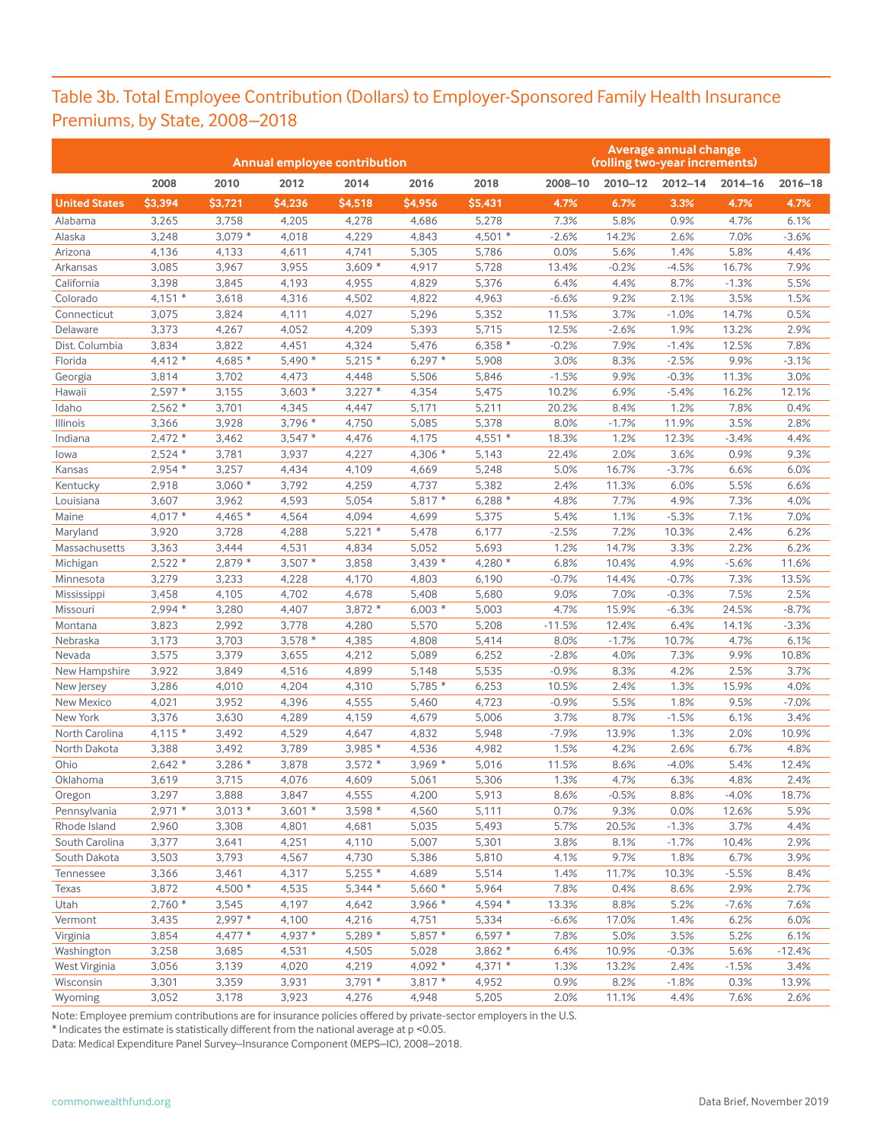### Table 3b. Total Employee Contribution (Dollars) to Employer-Sponsored Family Health Insurance Premiums, by State, 2008–2018

|                                |           |           | <b>Annual employee contribution</b> |          |          | Average annual change<br>(rolling two-year increments) |          |             |             |              |             |  |
|--------------------------------|-----------|-----------|-------------------------------------|----------|----------|--------------------------------------------------------|----------|-------------|-------------|--------------|-------------|--|
|                                | 2008      | 2010      | 2012                                | 2014     | 2016     | 2018                                                   | 2008-10  | $2010 - 12$ | $2012 - 14$ | $2014 - 16$  | $2016 - 18$ |  |
| <b>United States</b>           | \$3,394   | \$3,721   | \$4,236                             | \$4,518  | \$4,956  | \$5,431                                                | 4.7%     | 6.7%        | 3.3%        | 4.7%         | 4.7%        |  |
| Alabama                        | 3,265     | 3,758     | 4,205                               | 4,278    | 4,686    | 5,278                                                  | 7.3%     | 5.8%        | 0.9%        | 4.7%         | 6.1%        |  |
| Alaska                         | 3,248     | $3,079*$  | 4,018                               | 4,229    | 4,843    | $4,501*$                                               | $-2.6%$  | 14.2%       | 2.6%        | 7.0%         | $-3.6%$     |  |
| Arizona                        | 4,136     | 4,133     | 4,611                               | 4,741    | 5,305    | 5,786                                                  | 0.0%     | 5.6%        | 1.4%        | 5.8%         | 4.4%        |  |
| Arkansas                       | 3,085     | 3,967     | 3,955                               | $3,609*$ | 4,917    | 5,728                                                  | 13.4%    | $-0.2%$     | $-4.5%$     | 16.7%        | 7.9%        |  |
| California                     | 3,398     | 3,845     | 4,193                               | 4,955    | 4,829    | 5,376                                                  | 6.4%     | 4.4%        | 8.7%        | $-1.3%$      | 5.5%        |  |
| Colorado                       | 4,151 $*$ | 3,618     | 4,316                               | 4,502    | 4,822    | 4,963                                                  | $-6.6%$  | 9.2%        | 2.1%        | 3.5%         | 1.5%        |  |
| Connecticut                    | 3,075     | 3,824     | 4,111                               | 4,027    | 5,296    | 5,352                                                  | 11.5%    | 3.7%        | $-1.0%$     | 14.7%        | 0.5%        |  |
| Delaware                       | 3,373     | 4,267     | 4,052                               | 4,209    | 5,393    | 5,715                                                  | 12.5%    | $-2.6%$     | 1.9%        | 13.2%        | 2.9%        |  |
| Dist. Columbia                 | 3,834     | 3,822     | 4,451                               | 4,324    | 5,476    | $6,358*$                                               | $-0.2%$  | 7.9%        | $-1.4%$     | 12.5%        | 7.8%        |  |
| Florida                        | $4,412*$  | 4,685 $*$ | $5,490*$                            | $5,215*$ | $6,297*$ | 5,908                                                  | 3.0%     | 8.3%        | $-2.5%$     | 9.9%         | $-3.1%$     |  |
| Georgia                        | 3,814     | 3,702     | 4,473                               | 4,448    | 5,506    | 5,846                                                  | $-1.5%$  | 9.9%        | $-0.3%$     | 11.3%        | 3.0%        |  |
| Hawaii                         | $2,597*$  | 3,155     | $3,603*$                            | $3,227*$ | 4,354    | 5,475                                                  | 10.2%    | 6.9%        | $-5.4%$     | 16.2%        | 12.1%       |  |
| Idaho                          | $2,562*$  | 3,701     | 4,345                               | 4,447    | 5,171    | 5,211                                                  | 20.2%    | 8.4%        | 1.2%        | 7.8%         | 0.4%        |  |
| Illinois                       | 3,366     | 3,928     | $3,796*$                            | 4,750    | 5,085    | 5,378                                                  | 8.0%     | $-1.7%$     | 11.9%       | 3.5%         | 2.8%        |  |
| Indiana                        | $2,472*$  | 3,462     | $3,547*$                            | 4,476    | 4,175    | $4,551*$                                               | 18.3%    | 1.2%        | 12.3%       | $-3.4%$      | 4.4%        |  |
| lowa                           | $2,524*$  | 3,781     | 3,937                               | 4,227    | $4,306*$ | 5,143                                                  | 22.4%    | 2.0%        | 3.6%        | 0.9%         | 9.3%        |  |
| Kansas                         | $2,954*$  | 3,257     | 4,434                               | 4,109    | 4,669    | 5,248                                                  | 5.0%     | 16.7%       | $-3.7%$     | 6.6%         | 6.0%        |  |
| Kentucky                       | 2,918     | $3,060*$  | 3,792                               | 4,259    | 4,737    | 5,382                                                  | 2.4%     | 11.3%       | 6.0%        | 5.5%         | 6.6%        |  |
| Louisiana                      | 3,607     | 3,962     | 4,593                               | 5,054    | $5,817*$ | $6,288*$                                               | 4.8%     | 7.7%        | 4.9%        | 7.3%         | 4.0%        |  |
| Maine                          | $4,017*$  | $4,465*$  | 4,564                               | 4,094    | 4,699    | 5,375                                                  | 5.4%     | 1.1%        | $-5.3%$     | 7.1%         | 7.0%        |  |
| Maryland                       | 3,920     | 3,728     | 4,288                               | $5,221*$ | 5,478    | 6,177                                                  | $-2.5%$  | 7.2%        | 10.3%       | 2.4%         | 6.2%        |  |
| Massachusetts                  | 3,363     | 3,444     | 4,531                               | 4,834    | 5,052    | 5,693                                                  | 1.2%     | 14.7%       | 3.3%        | 2.2%         | 6.2%        |  |
| Michigan                       | $2,522*$  | $2,879*$  | $3,507*$                            | 3,858    | $3,439*$ | 4,280 $*$                                              | 6.8%     | 10.4%       | 4.9%        | $-5.6%$      | 11.6%       |  |
| Minnesota                      | 3,279     | 3,233     | 4,228                               | 4,170    | 4,803    | 6,190                                                  | $-0.7%$  | 14.4%       | $-0.7%$     | 7.3%         | 13.5%       |  |
| Mississippi                    | 3,458     | 4,105     | 4,702                               | 4,678    | 5,408    | 5,680                                                  | 9.0%     | 7.0%        | $-0.3%$     | 7.5%         | 2.5%        |  |
| Missouri                       | $2,994*$  | 3,280     | 4,407                               | $3,872*$ | $6,003*$ | 5,003                                                  | 4.7%     | 15.9%       | $-6.3%$     | 24.5%        | $-8.7%$     |  |
| Montana                        | 3,823     | 2,992     | 3,778                               | 4,280    | 5,570    | 5,208                                                  | $-11.5%$ | 12.4%       | 6.4%        | 14.1%        | $-3.3%$     |  |
| Nebraska                       | 3,173     | 3,703     | $3,578*$                            | 4,385    | 4,808    | 5,414                                                  | 8.0%     | $-1.7%$     | 10.7%       | 4.7%         | 6.1%        |  |
| Nevada                         | 3,575     | 3,379     | 3,655                               | 4,212    | 5,089    | 6,252                                                  | $-2.8%$  | 4.0%        | 7.3%        | 9.9%         | 10.8%       |  |
| New Hampshire                  | 3,922     | 3,849     | 4,516                               | 4,899    | 5,148    | 5,535                                                  | $-0.9%$  | 8.3%        | 4.2%        | 2.5%         | 3.7%        |  |
| New Jersey                     | 3,286     | 4,010     | 4,204                               | 4,310    | $5,785*$ | 6,253                                                  | 10.5%    | 2.4%        | 1.3%        | 15.9%        | 4.0%        |  |
| New Mexico                     | 4,021     | 3,952     | 4,396                               | 4,555    | 5,460    | 4,723                                                  | $-0.9%$  | 5.5%        | 1.8%        | 9.5%         | $-7.0%$     |  |
| New York                       | 3,376     | 3,630     |                                     | 4,159    | 4,679    | 5,006                                                  | 3.7%     | 8.7%        | $-1.5%$     |              | 3.4%        |  |
|                                | $4,115*$  | 3,492     | 4,289<br>4,529                      | 4,647    | 4,832    | 5,948                                                  | $-7.9%$  | 13.9%       | 1.3%        | 6.1%<br>2.0% | 10.9%       |  |
| North Carolina<br>North Dakota | 3,388     | 3,492     | 3,789                               | $3,985*$ | 4,536    | 4,982                                                  | 1.5%     | 4.2%        | 2.6%        | 6.7%         | 4.8%        |  |
| Ohio                           | $2,642*$  | $3,286*$  | 3,878                               | $3,572*$ | $3.969*$ | 5,016                                                  | 11.5%    | 8.6%        | $-4.0%$     | 5.4%         | 12.4%       |  |
|                                | 3,619     | 3,715     | 4,076                               | 4,609    |          | 5,306                                                  | 1.3%     | 4.7%        | 6.3%        | 4.8%         | 2.4%        |  |
| Oklahoma                       |           |           |                                     |          | 5,061    |                                                        |          |             |             |              |             |  |
| Oregon                         | 3,297     | 3,888     | 3,847                               | 4,555    | 4,200    | 5,913                                                  | 8.6%     | $-0.5%$     | 8.8%        | $-4.0%$      | 18.7%       |  |
| Pennsylvania                   | $2,971 *$ | $3,013*$  | $3,601*$                            | $3,598*$ | 4,560    | 5,111                                                  | 0.7%     | 9.3%        | 0.0%        | 12.6%        | 5.9%        |  |
| Rhode Island                   | 2,960     | 3,308     | 4,801                               | 4,681    | 5,035    | 5,493                                                  | 5.7%     | 20.5%       | $-1.3%$     | 3.7%         | 4.4%        |  |
| South Carolina                 | 3,377     | 3,641     | 4,251                               | 4,110    | 5,007    | 5,301                                                  | 3.8%     | 8.1%        | $-1.7%$     | 10.4%        | 2.9%        |  |
| South Dakota                   | 3,503     | 3,793     | 4,567                               | 4,730    | 5,386    | 5,810                                                  | 4.1%     | 9.7%        | 1.8%        | 6.7%         | 3.9%        |  |
| Tennessee                      | 3,366     | 3,461     | 4,317                               | $5,255*$ | 4,689    | 5,514                                                  | 1.4%     | 11.7%       | 10.3%       | $-5.5%$      | 8.4%        |  |
| Texas                          | 3,872     | $4,500*$  | 4,535                               | $5,344*$ | $5,660*$ | 5,964                                                  | 7.8%     | 0.4%        | 8.6%        | 2.9%         | 2.7%        |  |
| Utah                           | $2,760*$  | 3,545     | 4,197                               | 4,642    | $3,966*$ | 4,594 $*$                                              | 13.3%    | 8.8%        | 5.2%        | $-7.6%$      | 7.6%        |  |
| Vermont                        | 3,435     | $2,997*$  | 4,100                               | 4,216    | 4,751    | 5,334                                                  | $-6.6%$  | 17.0%       | 1.4%        | 6.2%         | 6.0%        |  |
| Virginia                       | 3,854     | $4,477*$  | $4,937*$                            | $5,289*$ | $5,857*$ | $6,597*$                                               | 7.8%     | 5.0%        | 3.5%        | 5.2%         | 6.1%        |  |
| Washington                     | 3,258     | 3,685     | 4,531                               | 4,505    | 5,028    | $3,862*$                                               | 6.4%     | 10.9%       | $-0.3%$     | 5.6%         | $-12.4%$    |  |
| West Virginia                  | 3,056     | 3,139     | 4,020                               | 4,219    | $4,092*$ | $4,371*$                                               | 1.3%     | 13.2%       | 2.4%        | $-1.5%$      | 3.4%        |  |
| Wisconsin                      | 3,301     | 3,359     | 3,931                               | $3,791*$ | $3,817*$ | 4,952                                                  | 0.9%     | 8.2%        | $-1.8%$     | 0.3%         | 13.9%       |  |
| Wyoming                        | 3,052     | 3,178     | 3,923                               | 4,276    | 4,948    | 5,205                                                  | 2.0%     | 11.1%       | 4.4%        | 7.6%         | 2.6%        |  |

Note: Employee premium contributions are for insurance policies offered by private-sector employers in the U.S.

\* Indicates the estimate is statistically different from the national average at p <0.05.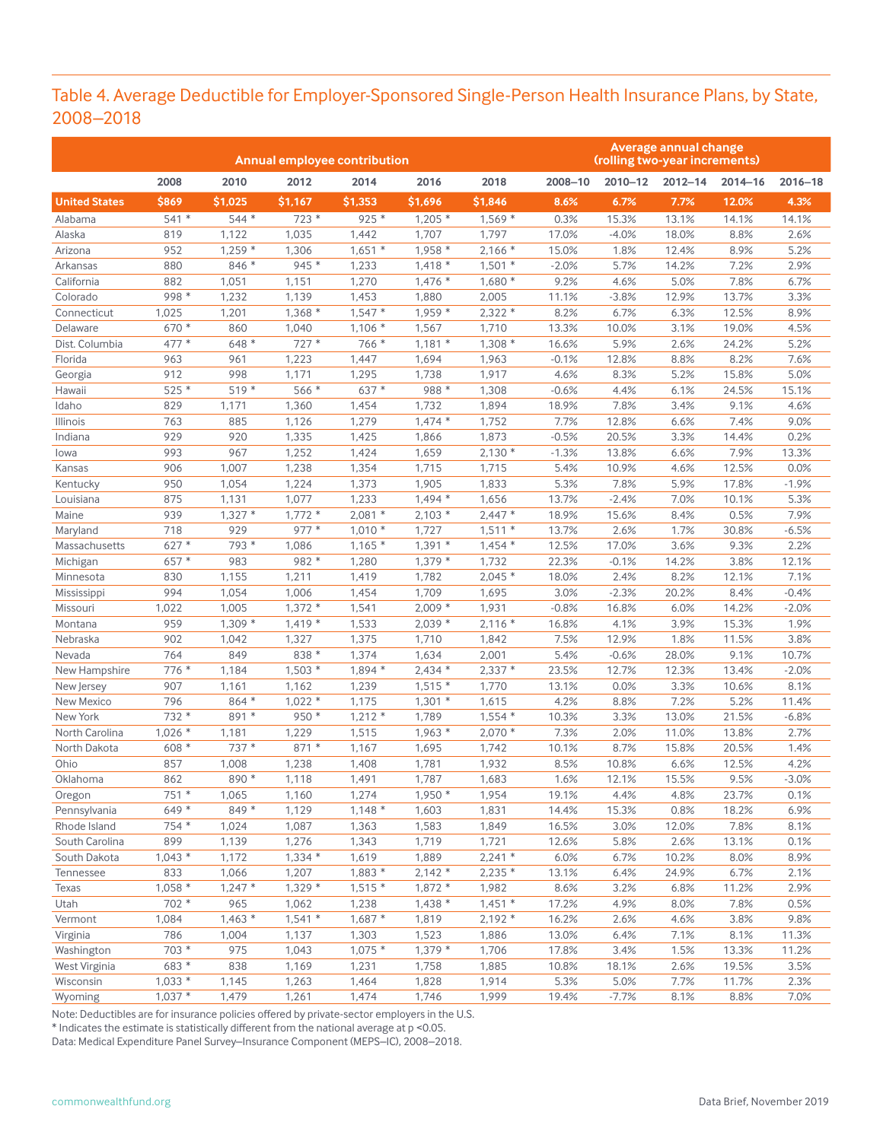### Table 4. Average Deductible for Employer-Sponsored Single-Person Health Insurance Plans, by State, 2008–2018

|                      |          |          | <b>Annual employee contribution</b> |           |          | Average annual change<br>(rolling two-year increments) |         |             |             |             |             |  |
|----------------------|----------|----------|-------------------------------------|-----------|----------|--------------------------------------------------------|---------|-------------|-------------|-------------|-------------|--|
|                      | 2008     | 2010     | 2012                                | 2014      | 2016     | 2018                                                   | 2008-10 | $2010 - 12$ | $2012 - 14$ | $2014 - 16$ | $2016 - 18$ |  |
| <b>United States</b> | \$869    | \$1,025  | \$1,167                             | \$1,353   | \$1,696  | \$1,846                                                | 8.6%    | 6.7%        | 7.7%        | 12.0%       | 4.3%        |  |
| Alabama              | $541*$   | 544 *    | $723*$                              | $925*$    | $1,205*$ | $1,569*$                                               | 0.3%    | 15.3%       | 13.1%       | 14.1%       | 14.1%       |  |
| Alaska               | 819      | 1,122    | 1,035                               | 1,442     | 1,707    | 1,797                                                  | 17.0%   | $-4.0%$     | 18.0%       | 8.8%        | 2.6%        |  |
| Arizona              | 952      | $1,259*$ | 1,306                               | $1,651*$  | $1,958*$ | $2,166*$                                               | 15.0%   | 1.8%        | 12.4%       | 8.9%        | 5.2%        |  |
| Arkansas             | 880      | 846 *    | 945 *                               | 1,233     | $1,418*$ | $1,501*$                                               | $-2.0%$ | 5.7%        | 14.2%       | 7.2%        | 2.9%        |  |
| California           | 882      | 1,051    | 1,151                               | 1,270     | $1,476*$ | $1,680*$                                               | 9.2%    | 4.6%        | 5.0%        | 7.8%        | 6.7%        |  |
| Colorado             | 998 *    | 1,232    | 1,139                               | 1,453     | 1,880    | 2,005                                                  | 11.1%   | $-3.8%$     | 12.9%       | 13.7%       | 3.3%        |  |
| Connecticut          | 1,025    | 1,201    | $1,368*$                            | $1,547*$  | $1,959*$ | $2,322*$                                               | 8.2%    | 6.7%        | 6.3%        | 12.5%       | 8.9%        |  |
| Delaware             | $670*$   | 860      | 1,040                               | $1,106*$  | 1,567    | 1,710                                                  | 13.3%   | 10.0%       | 3.1%        | 19.0%       | 4.5%        |  |
| Dist. Columbia       | $477*$   | $648 *$  | $727*$                              | 766 *     | $1,181*$ | $1,308*$                                               | 16.6%   | 5.9%        | 2.6%        | 24.2%       | 5.2%        |  |
| Florida              | 963      | 961      | 1,223                               | 1,447     | 1,694    | 1,963                                                  | $-0.1%$ | 12.8%       | 8.8%        | 8.2%        | 7.6%        |  |
| Georgia              | 912      | 998      | 1,171                               | 1,295     | 1,738    | 1,917                                                  | 4.6%    | 8.3%        | 5.2%        | 15.8%       | 5.0%        |  |
| Hawaii               | $525*$   | $519*$   | $566*$                              | $637*$    | 988 *    | 1,308                                                  | $-0.6%$ | 4.4%        | 6.1%        | 24.5%       | 15.1%       |  |
| Idaho                | 829      | 1,171    | 1,360                               | 1,454     | 1,732    | 1,894                                                  | 18.9%   | 7.8%        | 3.4%        | 9.1%        | 4.6%        |  |
| Illinois             | 763      | 885      | 1,126                               | 1,279     | $1,474*$ | 1,752                                                  | 7.7%    | 12.8%       | 6.6%        | 7.4%        | 9.0%        |  |
| Indiana              | 929      | 920      | 1,335                               | 1,425     | 1,866    | 1,873                                                  | $-0.5%$ | 20.5%       | 3.3%        | 14.4%       | 0.2%        |  |
| lowa                 | 993      | 967      | 1,252                               | 1,424     | 1,659    | $2,130*$                                               | $-1.3%$ | 13.8%       | 6.6%        | 7.9%        | 13.3%       |  |
| Kansas               | 906      | 1,007    | 1,238                               | 1,354     | 1,715    | 1,715                                                  | 5.4%    | 10.9%       | 4.6%        | 12.5%       | 0.0%        |  |
| Kentucky             | 950      | 1,054    | 1,224                               | 1,373     | 1,905    | 1,833                                                  | 5.3%    | 7.8%        | 5.9%        | 17.8%       | $-1.9%$     |  |
| Louisiana            | 875      | 1,131    | 1,077                               | 1,233     | $1,494*$ | 1,656                                                  | 13.7%   | $-2.4%$     | 7.0%        | 10.1%       | 5.3%        |  |
| Maine                | 939      | $1,327*$ | $1,772*$                            | $2,081$ * | $2,103*$ | $2,447*$                                               | 18.9%   | 15.6%       | 8.4%        | 0.5%        | 7.9%        |  |
| Maryland             | 718      | 929      | $977*$                              | $1,010*$  | 1,727    | $1,511*$                                               | 13.7%   | 2.6%        | 1.7%        | 30.8%       | $-6.5%$     |  |
| Massachusetts        | $627*$   | 793 *    | 1,086                               | $1,165*$  | $1,391*$ | $1,454*$                                               | 12.5%   | 17.0%       | 3.6%        | 9.3%        | 2.2%        |  |
| Michigan             | 657 *    | 983      | 982 *                               | 1,280     | $1,379*$ | 1,732                                                  | 22.3%   | $-0.1%$     | 14.2%       | 3.8%        | 12.1%       |  |
| Minnesota            | 830      | 1,155    | 1,211                               | 1,419     | 1,782    | $2,045*$                                               | 18.0%   | 2.4%        | 8.2%        | 12.1%       | 7.1%        |  |
| Mississippi          | 994      | 1,054    | 1,006                               | 1,454     | 1,709    | 1,695                                                  | 3.0%    | $-2.3%$     | 20.2%       | 8.4%        | $-0.4%$     |  |
| Missouri             | 1,022    | 1,005    | $1,372*$                            | 1,541     | $2,009*$ | 1,931                                                  | $-0.8%$ | 16.8%       | 6.0%        | 14.2%       | $-2.0%$     |  |
| Montana              | 959      | $1,309*$ | $1,419*$                            | 1,533     | $2,039*$ | $2,116*$                                               | 16.8%   | 4.1%        | 3.9%        | 15.3%       | 1.9%        |  |
| Nebraska             | 902      | 1,042    | 1,327                               | 1,375     | 1,710    | 1,842                                                  | 7.5%    | 12.9%       | 1.8%        | 11.5%       | 3.8%        |  |
| Nevada               | 764      | 849      | 838 *                               | 1,374     | 1,634    | 2,001                                                  | 5.4%    | $-0.6%$     | 28.0%       | 9.1%        | 10.7%       |  |
| New Hampshire        | $776*$   | 1,184    | $1,503*$                            | $1,894*$  | $2,434*$ | $2,337*$                                               | 23.5%   | 12.7%       | 12.3%       | 13.4%       | $-2.0%$     |  |
| New Jersey           | 907      | 1,161    | 1,162                               | 1,239     | $1,515*$ | 1,770                                                  | 13.1%   | 0.0%        | 3.3%        | 10.6%       | 8.1%        |  |
| New Mexico           | 796      | $864*$   | $1,022*$                            | 1,175     | $1,301*$ | 1,615                                                  | 4.2%    | 8.8%        | 7.2%        | 5.2%        | 11.4%       |  |
| New York             | 732 *    | 891 *    | 950 *                               | $1,212*$  | 1,789    | $1,554*$                                               | 10.3%   | 3.3%        | 13.0%       | 21.5%       | $-6.8%$     |  |
| North Carolina       | $1,026*$ | 1,181    | 1,229                               | 1,515     | $1,963*$ | $2,070*$                                               | 7.3%    | 2.0%        | 11.0%       | 13.8%       | 2.7%        |  |
| North Dakota         | $608 *$  | $737*$   | $871*$                              | 1,167     | 1,695    | 1,742                                                  | 10.1%   | 8.7%        | 15.8%       | 20.5%       | 1.4%        |  |
| Ohio                 | 857      | 1,008    | 1,238                               | 1,408     | 1,781    | 1,932                                                  | 8.5%    | 10.8%       | 6.6%        | 12.5%       | 4.2%        |  |
| Oklahoma             | 862      | 890 *    | 1,118                               | 1,491     | 1,787    | 1,683                                                  | 1.6%    | 12.1%       | 15.5%       | 9.5%        | $-3.0%$     |  |
| Oregon               | $751*$   | 1,065    | 1,160                               | 1,274     | $1,950*$ | 1,954                                                  | 19.1%   | 4.4%        | 4.8%        | 23.7%       | 0.1%        |  |
| Pennsylvania         | $649*$   | $849*$   | 1,129                               | $1,148*$  | 1,603    | 1,831                                                  | 14.4%   | 15.3%       | 0.8%        | 18.2%       | 6.9%        |  |
| Rhode Island         | 754 *    | 1,024    | 1,087                               | 1,363     | 1,583    | 1,849                                                  | 16.5%   | 3.0%        | 12.0%       | 7.8%        | 8.1%        |  |
| South Carolina       | 899      | 1,139    | 1,276                               | 1,343     | 1,719    | 1,721                                                  | 12.6%   | 5.8%        | 2.6%        | 13.1%       | 0.1%        |  |
| South Dakota         | $1,043*$ | 1,172    | $1,334*$                            | 1,619     | 1,889    | $2,241*$                                               | 6.0%    | 6.7%        | 10.2%       | 8.0%        | 8.9%        |  |
| Tennessee            | 833      | 1,066    | 1,207                               | $1,883*$  | $2,142*$ | $2,235*$                                               | 13.1%   | 6.4%        | 24.9%       | 6.7%        | 2.1%        |  |
| Texas                | $1,058*$ | $1,247*$ | $1,329*$                            | $1,515*$  | $1,872*$ | 1,982                                                  | 8.6%    | 3.2%        | 6.8%        | 11.2%       | 2.9%        |  |
| Utah                 | $702*$   | 965      | 1,062                               | 1,238     | $1,438*$ | $1,451*$                                               | 17.2%   | 4.9%        | 8.0%        | 7.8%        | 0.5%        |  |
| Vermont              | 1,084    | $1,463*$ | $1,541*$                            | $1,687$ * | 1,819    | $2,192*$                                               | 16.2%   | 2.6%        | 4.6%        | 3.8%        | 9.8%        |  |
| Virginia             | 786      | 1,004    | 1,137                               | 1,303     | 1,523    | 1,886                                                  | 13.0%   | 6.4%        | 7.1%        | 8.1%        | 11.3%       |  |
| Washington           | $703*$   | 975      | 1,043                               | $1,075$ * | $1,379*$ | 1,706                                                  | 17.8%   | 3.4%        | 1.5%        | 13.3%       | 11.2%       |  |
| West Virginia        | 683 *    | 838      | 1,169                               | 1,231     | 1,758    | 1,885                                                  | 10.8%   | 18.1%       | 2.6%        | 19.5%       | 3.5%        |  |
| Wisconsin            | $1,033*$ | 1,145    | 1,263                               | 1,464     | 1,828    | 1,914                                                  | 5.3%    | 5.0%        | 7.7%        | 11.7%       | 2.3%        |  |
| Wyoming              | $1,037*$ | 1,479    | 1,261                               | 1,474     | 1,746    | 1,999                                                  | 19.4%   | $-7.7%$     | 8.1%        | 8.8%        | 7.0%        |  |

Note: Deductibles are for insurance policies offered by private-sector employers in the U.S.

\* Indicates the estimate is statistically different from the national average at p <0.05.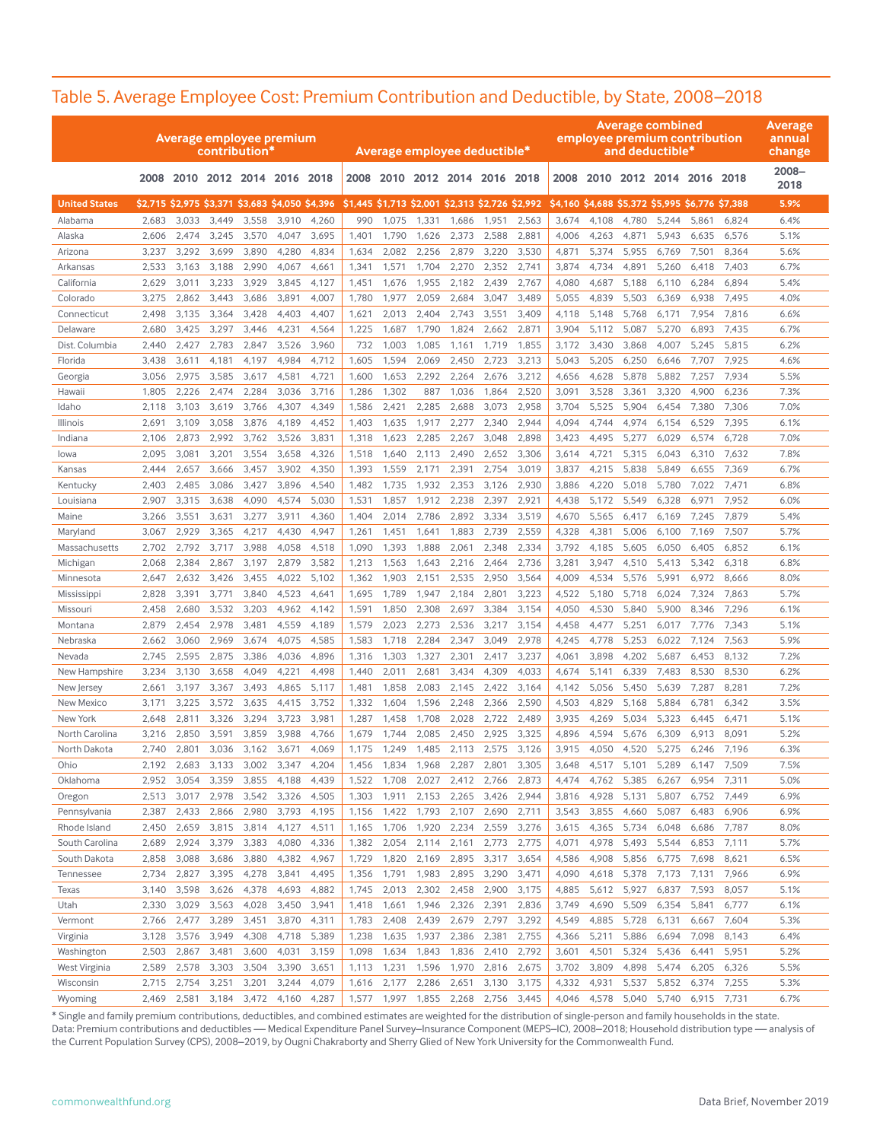#### Table 5. Average Employee Cost: Premium Contribution and Deductible, by State, 2008–2018

|                      | Average employee premium<br>Average employee deductible*<br>contribution" |                |                |                               |                |                                                                                                  |                | Average combined<br>employee premium contribution<br>and deductible* |                               |                |                |                |                | Average<br>annual<br>change |                |                                                 |                |                |               |
|----------------------|---------------------------------------------------------------------------|----------------|----------------|-------------------------------|----------------|--------------------------------------------------------------------------------------------------|----------------|----------------------------------------------------------------------|-------------------------------|----------------|----------------|----------------|----------------|-----------------------------|----------------|-------------------------------------------------|----------------|----------------|---------------|
|                      |                                                                           |                |                | 2008 2010 2012 2014 2016 2018 |                |                                                                                                  |                |                                                                      | 2008 2010 2012 2014 2016 2018 |                |                |                |                |                             |                | 2008 2010 2012 2014 2016 2018                   |                |                | 2008–<br>2018 |
| <b>United States</b> |                                                                           |                |                |                               |                | \$2.715 \$2.975 \$3.371 \$3.683 \$4.050 \$4.396  \$1.445 \$1.713 \$2.001 \$2.313 \$2.726 \$2.992 |                |                                                                      |                               |                |                |                |                |                             |                | \$4,160 \$4,688 \$5,372 \$5,995 \$6,776 \$7,388 |                |                | 5.9%          |
| Alabama              | 2,683                                                                     | 3,033          | 3,449          | 3,558                         | 3,910          | 4,260                                                                                            | 990            | 1,075                                                                | 1,331                         | 1,686          | 1,951          | 2,563          | 3,674          | 4,108                       | 4,780          | 5,244                                           | 5,861          | 6,824          | 6.4%          |
| Alaska               | 2,606                                                                     | 2,474          | 3,245          | 3,570                         | 4,047          | 3,695                                                                                            | 1,401          | 1,790                                                                | 1,626                         | 2,373          | 2,588          | 2,881          | 4,006          | 4,263                       | 4,871          | 5,943                                           | 6,635          | 6,576          | 5.1%          |
| Arizona              | 3,237                                                                     | 3,292          | 3,699          | 3,890                         | 4,280          | 4,834                                                                                            | 1,634          | 2,082                                                                | 2,256                         | 2,879          | 3,220          | 3,530          | 4,871          | 5,374                       | 5,955          | 6,769                                           | 7,501          | 8,364          | 5.6%          |
| Arkansas             | 2,533                                                                     | 3,163          | 3,188          | 2,990                         | 4,067          | 4,661                                                                                            | 1,341          | 1,571                                                                | 1,704                         | 2,270          | 2,352          | 2,741          | 3,874          | 4,734                       | 4,891          | 5,260                                           | 6,418          | 7,403          | 6.7%          |
| California           | 2,629                                                                     | 3,011          | 3,233          | 3,929                         | 3,845          | 4,127                                                                                            | 1,451          | 1,676                                                                | 1,955                         | 2,182          | 2,439          | 2,767          | 4,080          | 4,687                       | 5,188          | 6,110                                           | 6,284          | 6,894          | 5.4%          |
| Colorado             | 3,275                                                                     | 2,862          | 3,443          | 3,686                         | 3,891          | 4,007                                                                                            | 1,780          | 1,977                                                                | 2,059                         | 2,684          | 3,047          | 3,489          | 5,055          | 4,839                       | 5,503          | 6,369                                           | 6,938          | 7,495          | 4.0%          |
| Connecticut          | 2,498                                                                     | 3,135          | 3,364          | 3,428                         | 4,403          | 4,407                                                                                            | 1,621          | 2,013                                                                | 2,404                         | 2,743          | 3,551          | 3,409          | 4,118          | 5,148                       | 5,768          | 6,171                                           | 7,954          | 7,816          | 6.6%          |
| Delaware             | 2,680                                                                     | 3,425          | 3,297          | 3,446                         | 4,231          | 4,564                                                                                            | 1,225          | 1,687                                                                | 1,790                         | 1,824          | 2,662          | 2,871          | 3,904          | 5,112                       | 5,087          | 5,270                                           | 6,893          | 7,435          | 6.7%          |
| Dist. Columbia       | 2,440                                                                     | 2,427          | 2,783          | 2,847                         | 3,526          | 3,960                                                                                            | 732            | 1,003                                                                | 1,085                         | 1,161          | 1,719          | 1,855          | 3,172          | 3,430                       | 3,868          | 4,007                                           | 5,245          | 5,815          | 6.2%          |
| Florida              | 3,438                                                                     | 3,611          | 4,181          | 4,197                         | 4,984          | 4,712                                                                                            | 1,605          | 1,594                                                                | 2,069                         | 2,450          | 2,723          | 3,213          | 5,043          | 5,205                       | 6,250          | 6,646                                           | 7,707          | 7,925          | 4.6%          |
| Georgia              | 3,056                                                                     | 2,975          | 3,585          | 3,617                         | 4,581          | 4,721                                                                                            | 1,600          | 1,653                                                                | 2,292                         | 2,264          | 2,676          | 3,212          | 4,656          | 4,628                       | 5,878          | 5,882                                           | 7,257          | 7,934          | 5.5%          |
| Hawaii               | 1,805                                                                     | 2,226          | 2,474          | 2,284                         | 3,036          | 3,716                                                                                            | 1,286          | 1,302                                                                | 887                           | 1,036          | 1,864          | 2,520          | 3,091          | 3,528                       | 3,361          | 3,320                                           | 4,900          | 6,236          | 7.3%          |
| Idaho                | 2,118                                                                     | 3,103          | 3,619          | 3,766                         | 4,307          | 4,349                                                                                            | 1,586          | 2,421                                                                | 2,285                         | 2,688          | 3,073          | 2,958          | 3,704          | 5,525                       | 5,904          | 6,454                                           | 7,380          | 7,306          | 7.0%          |
| <b>Illinois</b>      | 2,691                                                                     | 3,109          | 3,058          | 3,876<br>3,762                | 4,189<br>3,526 | 4,452                                                                                            | 1,403          | 1,635                                                                | 1,917                         | 2,277          | 2,340<br>3,048 | 2,944<br>2,898 | 4,094          | 4,744                       | 4,974          | 6,154                                           | 6,529<br>6,574 | 7,395<br>6,728 | 6.1%<br>7.0%  |
| Indiana<br>lowa      | 2,106<br>2,095                                                            | 2,873<br>3,081 | 2,992<br>3,201 | 3,554                         | 3,658          | 3,831<br>4,326                                                                                   | 1,318<br>1,518 | 1,623<br>1,640                                                       | 2,285<br>2,113                | 2,267<br>2,490 | 2,652          | 3,306          | 3,423<br>3,614 | 4,495<br>4,721              | 5,277<br>5,315 | 6,029<br>6,043                                  | 6,310          | 7,632          | 7.8%          |
| Kansas               | 2,444                                                                     | 2,657          | 3,666          | 3,457                         | 3,902          | 4,350                                                                                            | 1,393          | 1,559                                                                | 2,171                         | 2,391          | 2,754          | 3,019          | 3,837          | 4,215                       | 5,838          | 5,849                                           | 6,655          | 7,369          | 6.7%          |
| Kentucky             | 2,403                                                                     | 2,485          | 3,086          | 3,427                         | 3,896          | 4,540                                                                                            | 1,482          | 1,735                                                                | 1,932                         | 2,353          | 3,126          | 2,930          | 3,886          | 4,220                       | 5,018          | 5,780                                           | 7,022          | 7,471          | 6.8%          |
| Louisiana            | 2,907                                                                     | 3,315          | 3,638          | 4,090                         | 4,574          | 5,030                                                                                            | 1,531          | 1,857                                                                | 1,912                         | 2,238          | 2,397          | 2,921          | 4,438          | 5,172                       | 5,549          | 6,328                                           | 6,971          | 7,952          | 6.0%          |
| Maine                | 3,266                                                                     | 3,551          | 3,631          | 3,277                         | 3,911          | 4,360                                                                                            | 1,404          | 2,014                                                                | 2,786                         | 2,892          | 3,334          | 3,519          | 4,670          | 5,565                       | 6,417          | 6,169                                           | 7,245          | 7,879          | 5.4%          |
| Maryland             | 3,067                                                                     | 2,929          | 3,365          | 4,217                         | 4,430          | 4,947                                                                                            | 1,261          | 1,451                                                                | 1,641                         | 1,883          | 2,739          | 2,559          | 4,328          | 4,381                       | 5,006          | 6,100                                           | 7,169          | 7,507          | 5.7%          |
| Massachusetts        | 2,702                                                                     | 2,792          | 3,717          | 3,988                         | 4,058          | 4,518                                                                                            | 1,090          | 1,393                                                                | 1,888                         | 2,061          | 2,348          | 2,334          | 3,792          | 4,185                       | 5,605          | 6,050                                           | 6,405          | 6,852          | 6.1%          |
| Michigan             | 2,068                                                                     | 2,384          | 2,867          | 3,197                         | 2,879          | 3,582                                                                                            | 1,213          | 1,563                                                                | 1,643                         | 2,216          | 2,464          | 2,736          | 3,281          | 3,947                       | 4,510          | 5,413                                           | 5,342          | 6,318          | 6.8%          |
| Minnesota            | 2,647                                                                     | 2,632          | 3,426          | 3,455                         | 4,022          | 5,102                                                                                            | 1,362          | 1,903                                                                | 2,151                         | 2,535          | 2,950          | 3,564          | 4,009          | 4,534                       | 5,576          | 5,991                                           | 6,972          | 8,666          | 8.0%          |
| Mississippi          | 2,828                                                                     | 3,391          | 3,771          | 3,840                         | 4,523          | 4,641                                                                                            | 1,695          | 1,789                                                                | 1,947                         | 2,184          | 2,801          | 3,223          | 4,522          | 5,180                       | 5,718          | 6,024                                           | 7,324          | 7,863          | 5.7%          |
| Missouri             | 2,458                                                                     | 2,680          | 3,532          | 3,203                         | 4,962          | 4,142                                                                                            | 1,591          | 1,850                                                                | 2,308                         | 2,697          | 3,384          | 3,154          | 4,050          | 4,530                       | 5,840          | 5,900                                           | 8,346          | 7,296          | 6.1%          |
| Montana              | 2,879                                                                     | 2,454          | 2,978          | 3,481                         | 4,559          | 4,189                                                                                            | 1,579          | 2,023                                                                | 2,273                         | 2,536          | 3,217          | 3,154          | 4,458          | 4,477                       | 5,251          | 6,017                                           | 7,776          | 7,343          | 5.1%          |
| Nebraska             | 2,662                                                                     | 3,060          | 2,969          | 3,674                         | 4,075          | 4,585                                                                                            | 1,583          | 1,718                                                                | 2,284                         | 2,347          | 3,049          | 2,978          | 4,245          | 4,778                       | 5,253          | 6,022                                           | 7,124          | 7,563          | 5.9%          |
| Nevada               | 2,745                                                                     | 2,595          | 2,875          | 3,386                         | 4,036          | 4,896                                                                                            | 1,316          | 1,303                                                                | 1,327                         | 2,301          | 2,417          | 3,237          | 4,061          | 3,898                       | 4,202          | 5,687                                           | 6,453          | 8,132          | 7.2%          |
| New Hampshire        | 3,234                                                                     | 3,130          | 3,658          | 4,049                         | 4,221          | 4,498                                                                                            | 1,440          | 2,011                                                                | 2,681                         | 3,434          | 4,309          | 4,033          | 4,674          | 5,141                       | 6,339          | 7,483                                           | 8,530          | 8,530          | 6.2%          |
| New Jersey           | 2,661                                                                     | 3,197          | 3,367          | 3,493                         | 4,865          | 5,117                                                                                            | 1,481          | 1,858                                                                | 2,083                         | 2,145          | 2,422          | 3,164          | 4,142          | 5,056                       | 5,450          | 5,639                                           | 7,287          | 8,281          | 7.2%          |
| New Mexico           | 3,171                                                                     | 3,225          | 3,572          | 3,635                         | 4,415          | 3,752                                                                                            | 1,332          | 1,604                                                                | 1,596                         | 2,248          | 2,366          | 2,590          | 4,503          | 4,829                       | 5,168          | 5,884                                           | 6,781          | 6,342          | 3.5%          |
| New York             | 2,648                                                                     | 2,811          | 3,326          | 3,294                         | 3,723          | 3,981                                                                                            | 1,287          | 1,458                                                                | 1,708                         | 2,028          | 2,722          | 2,489          | 3,935          | 4,269                       | 5,034          | 5,323                                           | 6,445          | 6,471          | 5.1%          |
| North Carolina       | 3,216                                                                     | 2,850          | 3,591          | 3,859                         | 3,988          | 4,766                                                                                            | 1,679          | 1,744                                                                | 2,085                         | 2,450          | 2,925          | 3,325          | 4,896          | 4,594                       | 5,676          | 6,309                                           | 6,913          | 8,091          | 5.2%          |
| North Dakota         | 2,740                                                                     | 2,801          | 3,036          | 3,162                         | 3,671          | 4,069                                                                                            | 1,175          | 1,249                                                                | 1,485                         | 2,113          | 2,575          | 3,126          | 3,915          | 4,050                       | 4,520          | 5,275                                           | 6,246          | 7,196          | 6.3%          |
| Ohio                 | 2,192                                                                     | 2,683          | 3,133          | 3,002                         | 3,347          | 4,204                                                                                            | 1,456          | 1,834                                                                | 1,968                         | 2,287          | 2,801          | 3,305          | 3,648          | 4,517                       | 5,101          | 5,289                                           | 6,147          | 7,509          | 7.5%          |
| Oklahoma             | 2,952                                                                     | 3,054          | 3,359          | 3,855                         | 4,188          | 4,439                                                                                            | 1,522          | 1,708                                                                | 2,027                         | 2,412          | 2,766          | 2,873          | 4,474          | 4,762                       | 5,385          | 6,267                                           | 6,954          | 7,311          | 5.0%          |
| Oregon               | 2,513                                                                     | 3,017          | 2,978          | 3,542                         | 3,326          | 4,505                                                                                            | 1,303          | 1,911                                                                | 2,153                         | 2,265          | 3,426          | 2,944          | 3,816          | 4,928                       | 5,131          | 5,807                                           | 6,752          | 7,449          | 6.9%          |
| Pennsylvania         | 2,387                                                                     | 2,433          | 2,866          | 2,980                         | 3,793          | 4,195                                                                                            | 1,156          | 1,422                                                                | 1,793                         | 2,107          | 2,690          | 2,711          | 3,543          | 3,855                       | 4,660          | 5,087                                           | 6,483          | 6,906          | 6.9%          |
| Rhode Island         | 2,450                                                                     | 2,659          | 3,815          | 3,814                         | 4,127          | 4,511                                                                                            | 1,165          | 1,706                                                                | 1,920                         | 2,234          | 2,559          | 3,276          | 3,615          | 4,365                       | 5,734          | 6,048                                           | 6,686          | 7,787          | 8.0%          |
| South Carolina       | 2,689                                                                     | 2,924          | 3,379          | 3,383                         | 4,080          | 4,336                                                                                            | 1,382          | 2,054                                                                | 2,114                         | 2,161          | 2,773          | 2,775          | 4,071          | 4,978                       | 5,493          | 5,544                                           | 6,853          | 7,111          | 5.7%          |
| South Dakota         | 2,858                                                                     | 3,088          | 3,686          | 3,880                         | 4,382          | 4,967                                                                                            | 1,729          | 1,820                                                                | 2,169                         | 2,895          | 3,317          | 3,654          | 4,586          | 4,908                       | 5,856          | 6,775                                           | 7,698          | 8,621          | 6.5%          |
| Tennessee<br>Texas   | 2,734<br>3,140                                                            | 2,827<br>3,598 | 3,395<br>3,626 | 4,278<br>4,378                | 3,841<br>4,693 | 4,495<br>4,882                                                                                   | 1,356<br>1,745 | 1,791<br>2,013                                                       | 1,983<br>2,302                | 2,895<br>2,458 | 3,290<br>2,900 | 3,471<br>3,175 | 4,090<br>4,885 | 4,618<br>5,612              | 5,378<br>5,927 | 7,173<br>6,837                                  | 7,131<br>7,593 | 7,966<br>8,057 | 6.9%<br>5.1%  |
| Utah                 | 2,330                                                                     | 3,029          | 3,563          | 4,028                         | 3,450          | 3,941                                                                                            | 1,418          | 1,661                                                                | 1,946                         | 2,326          | 2,391          | 2,836          | 3,749          | 4,690                       | 5,509          | 6,354                                           | 5,841          | 6,777          | 6.1%          |
| Vermont              | 2,766                                                                     | 2,477          | 3,289          | 3,451                         | 3,870          | 4,311                                                                                            | 1,783          | 2,408                                                                | 2,439                         | 2,679          | 2,797          | 3,292          | 4,549          | 4,885                       | 5,728          | 6,131                                           | 6,667          | 7,604          | 5.3%          |
| Virginia             | 3,128                                                                     | 3,576          | 3,949          | 4,308                         | 4,718          | 5,389                                                                                            | 1,238          | 1,635                                                                | 1,937                         | 2,386          | 2,381          | 2,755          | 4,366          | 5,211                       | 5,886          | 6,694                                           | 7,098          | 8,143          | 6.4%          |
| Washington           | 2,503                                                                     | 2,867          | 3,481          | 3,600                         | 4,031          | 3,159                                                                                            | 1,098          | 1,634                                                                | 1,843                         | 1,836          | 2,410          | 2,792          | 3,601          | 4,501                       | 5,324          | 5,436                                           | 6,441          | 5,951          | 5.2%          |
| West Virginia        | 2,589                                                                     | 2,578          | 3,303          | 3,504                         | 3,390          | 3,651                                                                                            | 1,113          | 1,231                                                                | 1,596                         | 1,970          | 2,816          | 2,675          | 3,702          | 3,809                       | 4,898          | 5,474                                           | 6,205          | 6,326          | 5.5%          |
| Wisconsin            | 2,715                                                                     | 2,754          | 3,251          | 3,201                         | 3,244          | 4,079                                                                                            | 1,616          | 2,177                                                                | 2,286                         | 2,651          | 3,130          | 3,175          | 4,332          | 4,931                       | 5,537          | 5,852                                           | 6,374          | 7,255          | 5.3%          |
| Wyoming              | 2,469                                                                     | 2,581          | 3,184          | 3,472                         | 4,160          | 4,287                                                                                            | 1,577          | 1,997                                                                | 1,855                         | 2,268          | 2,756          | 3,445          | 4,046          | 4,578                       | 5,040          | 5,740                                           | 6,915          | 7,731          | 6.7%          |

\* Single and family premium contributions, deductibles, and combined estimates are weighted for the distribution of single-person and family households in the state. Data: Premium contributions and deductibles — Medical Expenditure Panel Survey–Insurance Component (MEPS–IC), 2008–2018; Household distribution type — analysis of the Current Population Survey (CPS), 2008–2019, by Ougni Chakraborty and Sherry Glied of New York University for the Commonwealth Fund.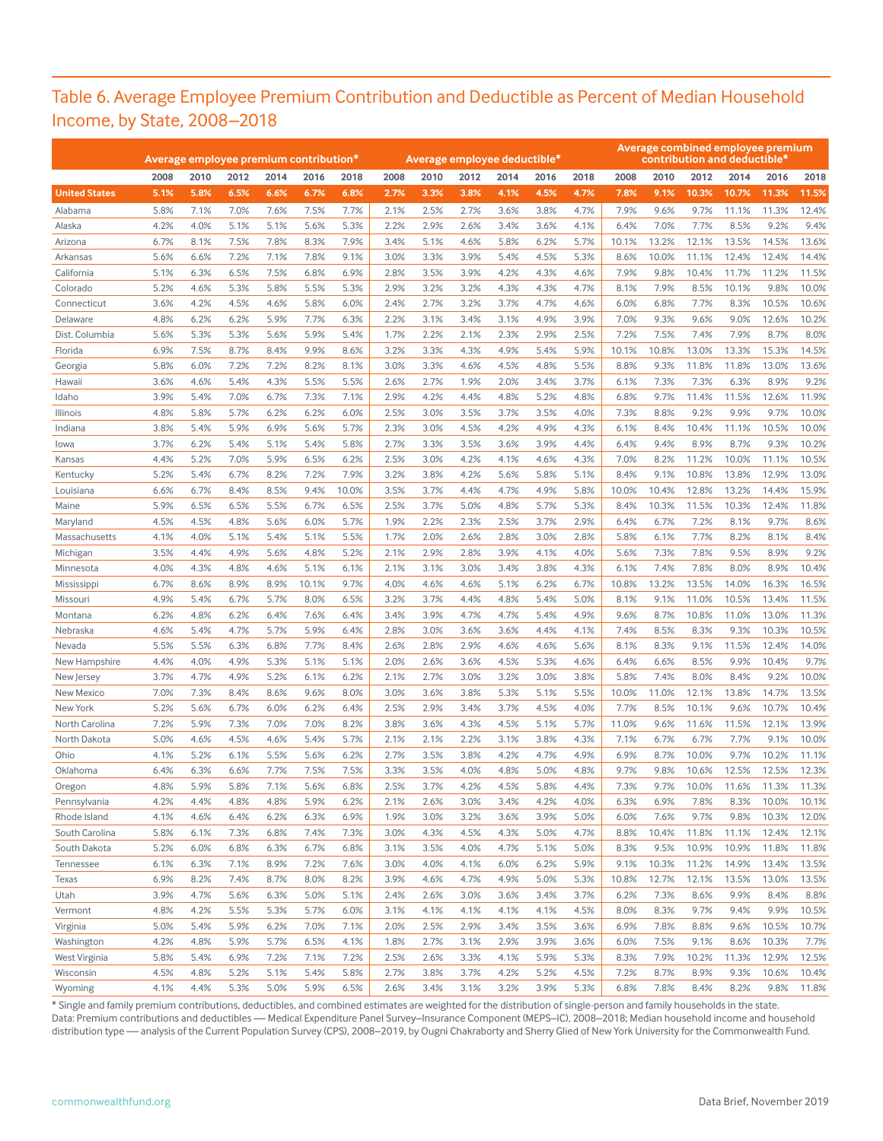## Table 6. Average Employee Premium Contribution and Deductible as Percent of Median Household Income, by State, 2008–2018

|                        |      |      | Average employee premium contribution* |      |       |       | Average employee deductible* |      |      |      |      |      |       | Average combined employee premium<br>contribution and deductible* |       |       |       |       |
|------------------------|------|------|----------------------------------------|------|-------|-------|------------------------------|------|------|------|------|------|-------|-------------------------------------------------------------------|-------|-------|-------|-------|
|                        | 2008 | 2010 | 2012                                   | 2014 | 2016  | 2018  | 2008                         | 2010 | 2012 | 2014 | 2016 | 2018 | 2008  | 2010                                                              | 2012  | 2014  | 2016  | 2018  |
| <b>United States</b>   | 5.1% | 5.8% | 6.5%                                   | 6.6% | 6.7%  | 6.8%  | 2.7%                         | 3.3% | 3.8% | 4.1% | 4.5% | 4.7% | 7.8%  | 9.1%                                                              | 10.3% | 10.7% | 11.3% | 11.5% |
| Alabama                | 5.8% | 7.1% | 7.0%                                   | 7.6% | 7.5%  | 7.7%  | 2.1%                         | 2.5% | 2.7% | 3.6% | 3.8% | 4.7% | 7.9%  | 9.6%                                                              | 9.7%  | 11.1% | 11.3% | 12.4% |
| Alaska                 | 4.2% | 4.0% | 5.1%                                   | 5.1% | 5.6%  | 5.3%  | 2.2%                         | 2.9% | 2.6% | 3.4% | 3.6% | 4.1% | 6.4%  | 7.0%                                                              | 7.7%  | 8.5%  | 9.2%  | 9.4%  |
| Arizona                | 6.7% | 8.1% | 7.5%                                   | 7.8% | 8.3%  | 7.9%  | 3.4%                         | 5.1% | 4.6% | 5.8% | 6.2% | 5.7% | 10.1% | 13.2%                                                             | 12.1% | 13.5% | 14.5% | 13.6% |
| Arkansas               | 5.6% | 6.6% | 7.2%                                   | 7.1% | 7.8%  | 9.1%  | 3.0%                         | 3.3% | 3.9% | 5.4% | 4.5% | 5.3% | 8.6%  | 10.0%                                                             | 11.1% | 12.4% | 12.4% | 14.4% |
| California             | 5.1% | 6.3% | 6.5%                                   | 7.5% | 6.8%  | 6.9%  | 2.8%                         | 3.5% | 3.9% | 4.2% | 4.3% | 4.6% | 7.9%  | 9.8%                                                              | 10.4% | 11.7% | 11.2% | 11.5% |
| Colorado               | 5.2% | 4.6% | 5.3%                                   | 5.8% | 5.5%  | 5.3%  | 2.9%                         | 3.2% | 3.2% | 4.3% | 4.3% | 4.7% | 8.1%  | 7.9%                                                              | 8.5%  | 10.1% | 9.8%  | 10.0% |
| Connecticut            | 3.6% | 4.2% | 4.5%                                   | 4.6% | 5.8%  | 6.0%  | 2.4%                         | 2.7% | 3.2% | 3.7% | 4.7% | 4.6% | 6.0%  | 6.8%                                                              | 7.7%  | 8.3%  | 10.5% | 10.6% |
| Delaware               | 4.8% | 6.2% | 6.2%                                   | 5.9% | 7.7%  | 6.3%  | 2.2%                         | 3.1% | 3.4% | 3.1% | 4.9% | 3.9% | 7.0%  | 9.3%                                                              | 9.6%  | 9.0%  | 12.6% | 10.2% |
| Dist. Columbia         | 5.6% | 5.3% | 5.3%                                   | 5.6% | 5.9%  | 5.4%  | 1.7%                         | 2.2% | 2.1% | 2.3% | 2.9% | 2.5% | 7.2%  | 7.5%                                                              | 7.4%  | 7.9%  | 8.7%  | 8.0%  |
| Florida                | 6.9% | 7.5% | 8.7%                                   | 8.4% | 9.9%  | 8.6%  | 3.2%                         | 3.3% | 4.3% | 4.9% | 5.4% | 5.9% | 10.1% | 10.8%                                                             | 13.0% | 13.3% | 15.3% | 14.5% |
| Georgia                | 5.8% | 6.0% | 7.2%                                   | 7.2% | 8.2%  | 8.1%  | 3.0%                         | 3.3% | 4.6% | 4.5% | 4.8% | 5.5% | 8.8%  | 9.3%                                                              | 11.8% | 11.8% | 13.0% | 13.6% |
| Hawaii                 | 3.6% | 4.6% | 5.4%                                   | 4.3% | 5.5%  | 5.5%  | 2.6%                         | 2.7% | 1.9% | 2.0% | 3.4% | 3.7% | 6.1%  | 7.3%                                                              | 7.3%  | 6.3%  | 8.9%  | 9.2%  |
| Idaho                  | 3.9% | 5.4% | 7.0%                                   | 6.7% | 7.3%  | 7.1%  | 2.9%                         | 4.2% | 4.4% | 4.8% | 5.2% | 4.8% | 6.8%  | 9.7%                                                              | 11.4% | 11.5% | 12.6% | 11.9% |
| Illinois               | 4.8% | 5.8% | 5.7%                                   | 6.2% | 6.2%  | 6.0%  | 2.5%                         | 3.0% | 3.5% | 3.7% | 3.5% | 4.0% | 7.3%  | 8.8%                                                              | 9.2%  | 9.9%  | 9.7%  | 10.0% |
| Indiana                | 3.8% | 5.4% | 5.9%                                   | 6.9% | 5.6%  | 5.7%  | 2.3%                         | 3.0% | 4.5% | 4.2% | 4.9% | 4.3% | 6.1%  | 8.4%                                                              | 10.4% | 11.1% | 10.5% | 10.0% |
| lowa                   | 3.7% | 6.2% | 5.4%                                   | 5.1% | 5.4%  | 5.8%  | 2.7%                         | 3.3% | 3.5% | 3.6% | 3.9% | 4.4% | 6.4%  | 9.4%                                                              | 8.9%  | 8.7%  | 9.3%  | 10.2% |
| Kansas                 | 4.4% | 5.2% | 7.0%                                   | 5.9% | 6.5%  | 6.2%  | 2.5%                         | 3.0% | 4.2% | 4.1% | 4.6% | 4.3% | 7.0%  | 8.2%                                                              | 11.2% | 10.0% | 11.1% | 10.5% |
| Kentucky               | 5.2% | 5.4% | 6.7%                                   | 8.2% | 7.2%  | 7.9%  | 3.2%                         | 3.8% | 4.2% | 5.6% | 5.8% | 5.1% | 8.4%  | 9.1%                                                              | 10.8% | 13.8% | 12.9% | 13.0% |
| Louisiana              | 6.6% | 6.7% | 8.4%                                   | 8.5% | 9.4%  | 10.0% | 3.5%                         | 3.7% | 4.4% | 4.7% | 4.9% | 5.8% | 10.0% | 10.4%                                                             | 12.8% | 13.2% | 14.4% | 15.9% |
| Maine                  | 5.9% | 6.5% | 6.5%                                   | 5.5% | 6.7%  | 6.5%  | 2.5%                         | 3.7% | 5.0% | 4.8% | 5.7% | 5.3% | 8.4%  | 10.3%                                                             | 11.5% | 10.3% | 12.4% | 11.8% |
| Maryland               | 4.5% | 4.5% | 4.8%                                   | 5.6% | 6.0%  | 5.7%  | 1.9%                         | 2.2% | 2.3% | 2.5% | 3.7% | 2.9% | 6.4%  | 6.7%                                                              | 7.2%  | 8.1%  | 9.7%  | 8.6%  |
| Massachusetts          | 4.1% | 4.0% | 5.1%                                   | 5.4% | 5.1%  | 5.5%  | 1.7%                         | 2.0% | 2.6% | 2.8% | 3.0% | 2.8% | 5.8%  | 6.1%                                                              | 7.7%  | 8.2%  | 8.1%  | 8.4%  |
| Michigan               | 3.5% | 4.4% | 4.9%                                   | 5.6% | 4.8%  | 5.2%  | 2.1%                         | 2.9% | 2.8% | 3.9% | 4.1% | 4.0% | 5.6%  | 7.3%                                                              | 7.8%  | 9.5%  | 8.9%  | 9.2%  |
| Minnesota              | 4.0% | 4.3% | 4.8%                                   | 4.6% | 5.1%  | 6.1%  | 2.1%                         | 3.1% | 3.0% | 3.4% | 3.8% | 4.3% | 6.1%  | 7.4%                                                              | 7.8%  | 8.0%  | 8.9%  | 10.4% |
| Mississippi            | 6.7% | 8.6% | 8.9%                                   | 8.9% | 10.1% | 9.7%  | 4.0%                         | 4.6% | 4.6% | 5.1% | 6.2% | 6.7% | 10.8% | 13.2%                                                             | 13.5% | 14.0% | 16.3% | 16.5% |
| Missouri               | 4.9% | 5.4% | 6.7%                                   | 5.7% | 8.0%  | 6.5%  | 3.2%                         | 3.7% | 4.4% | 4.8% | 5.4% | 5.0% | 8.1%  | 9.1%                                                              | 11.0% | 10.5% | 13.4% | 11.5% |
| Montana                | 6.2% | 4.8% | 6.2%                                   | 6.4% | 7.6%  | 6.4%  | 3.4%                         | 3.9% | 4.7% | 4.7% | 5.4% | 4.9% | 9.6%  | 8.7%                                                              | 10.8% | 11.0% | 13.0% | 11.3% |
| Nebraska               | 4.6% | 5.4% | 4.7%                                   | 5.7% | 5.9%  | 6.4%  | 2.8%                         | 3.0% | 3.6% | 3.6% | 4.4% | 4.1% | 7.4%  | 8.5%                                                              | 8.3%  | 9.3%  | 10.3% | 10.5% |
| Nevada                 | 5.5% | 5.5% | 6.3%                                   | 6.8% | 7.7%  | 8.4%  | 2.6%                         | 2.8% | 2.9% | 4.6% | 4.6% | 5.6% | 8.1%  | 8.3%                                                              | 9.1%  | 11.5% | 12.4% | 14.0% |
| New Hampshire          | 4.4% | 4.0% | 4.9%                                   | 5.3% | 5.1%  | 5.1%  | 2.0%                         | 2.6% | 3.6% | 4.5% | 5.3% | 4.6% | 6.4%  | 6.6%                                                              | 8.5%  | 9.9%  | 10.4% | 9.7%  |
| New Jersey             | 3.7% | 4.7% | 4.9%                                   | 5.2% | 6.1%  | 6.2%  | 2.1%                         | 2.7% | 3.0% | 3.2% | 3.0% | 3.8% | 5.8%  | 7.4%                                                              | 8.0%  | 8.4%  | 9.2%  | 10.0% |
| New Mexico             | 7.0% | 7.3% | 8.4%                                   | 8.6% | 9.6%  | 8.0%  | 3.0%                         | 3.6% | 3.8% | 5.3% | 5.1% | 5.5% | 10.0% | 11.0%                                                             | 12.1% | 13.8% | 14.7% | 13.5% |
| New York               | 5.2% | 5.6% | 6.7%                                   | 6.0% | 6.2%  | 6.4%  | 2.5%                         | 2.9% | 3.4% | 3.7% | 4.5% | 4.0% | 7.7%  | 8.5%                                                              | 10.1% | 9.6%  | 10.7% | 10.4% |
| North Carolina         | 7.2% | 5.9% | 7.3%                                   | 7.0% | 7.0%  | 8.2%  | 3.8%                         | 3.6% | 4.3% | 4.5% | 5.1% | 5.7% | 11.0% | 9.6%                                                              | 11.6% | 11.5% | 12.1% | 13.9% |
| North Dakota           | 5.0% | 4.6% | 4.5%                                   | 4.6% | 5.4%  | 5.7%  | 2.1%                         | 2.1% | 2.2% | 3.1% | 3.8% | 4.3% | 7.1%  | 6.7%                                                              | 6.7%  | 7.7%  | 9.1%  | 10.0% |
| Ohio                   | 4.1% | 5.2% | 6.1%                                   | 5.5% | 5.6%  | 6.2%  | 2.7%                         | 3.5% | 3.8% | 4.2% | 4.7% | 4.9% | 6.9%  | 8.7%                                                              | 10.0% | 9.7%  | 10.2% | 11.1% |
| Oklahoma               | 6.4% | 6.3% | 6.6%                                   | 7.7% | 7.5%  | 7.5%  | 3.3%                         | 3.5% | 4.0% | 4.8% | 5.0% | 4.8% | 9.7%  | 9.8%                                                              | 10.6% | 12.5% | 12.5% | 12.3% |
|                        | 4.8% | 5.9% | 5.8%                                   | 7.1% | 5.6%  | 6.8%  | 2.5%                         | 3.7% | 4.2% | 4.5% | 5.8% | 4.4% | 7.3%  | 9.7%                                                              | 10.0% | 11.6% | 11.3% | 11.3% |
| Oregon<br>Pennsylvania | 4.2% | 4.4% | 4.8%                                   | 4.8% | 5.9%  | 6.2%  | 2.1%                         | 2.6% | 3.0% | 3.4% | 4.2% | 4.0% | 6.3%  | 6.9%                                                              | 7.8%  | 8.3%  | 10.0% | 10.1% |
| Rhode Island           | 4.1% | 4.6% | 6.4%                                   | 6.2% | 6.3%  | 6.9%  | 1.9%                         | 3.0% | 3.2% | 3.6% | 3.9% | 5.0% | 6.0%  | 7.6%                                                              | 9.7%  | 9.8%  | 10.3% | 12.0% |
| South Carolina         | 5.8% | 6.1% | 7.3%                                   | 6.8% | 7.4%  | 7.3%  | 3.0%                         | 4.3% | 4.5% | 4.3% | 5.0% | 4.7% | 8.8%  | 10.4%                                                             | 11.8% | 11.1% | 12.4% | 12.1% |
| South Dakota           | 5.2% | 6.0% | 6.8%                                   | 6.3% | 6.7%  | 6.8%  | 3.1%                         | 3.5% | 4.0% | 4.7% | 5.1% | 5.0% | 8.3%  | 9.5%                                                              | 10.9% | 10.9% | 11.8% | 11.8% |
| Tennessee              | 6.1% | 6.3% | 7.1%                                   | 8.9% | 7.2%  | 7.6%  | 3.0%                         | 4.0% | 4.1% | 6.0% | 6.2% | 5.9% | 9.1%  | 10.3%                                                             | 11.2% | 14.9% | 13.4% | 13.5% |
|                        |      |      |                                        |      |       |       |                              |      |      |      |      |      |       |                                                                   |       |       |       |       |
| Texas                  | 6.9% | 8.2% | 7.4%                                   | 8.7% | 8.0%  | 8.2%  | 3.9%                         | 4.6% | 4.7% | 4.9% | 5.0% | 5.3% | 10.8% | 12.7%                                                             | 12.1% | 13.5% | 13.0% | 13.5% |
| Utah                   | 3.9% | 4.7% | 5.6%                                   | 6.3% | 5.0%  | 5.1%  | 2.4%                         | 2.6% | 3.0% | 3.6% | 3.4% | 3.7% | 6.2%  | 7.3%                                                              | 8.6%  | 9.9%  | 8.4%  | 8.8%  |
| Vermont                | 4.8% | 4.2% | 5.5%                                   | 5.3% | 5.7%  | 6.0%  | 3.1%                         | 4.1% | 4.1% | 4.1% | 4.1% | 4.5% | 8.0%  | 8.3%                                                              | 9.7%  | 9.4%  | 9.9%  | 10.5% |
| Virginia               | 5.0% | 5.4% | 5.9%                                   | 6.2% | 7.0%  | 7.1%  | 2.0%                         | 2.5% | 2.9% | 3.4% | 3.5% | 3.6% | 6.9%  | 7.8%                                                              | 8.8%  | 9.6%  | 10.5% | 10.7% |
| Washington             | 4.2% | 4.8% | 5.9%                                   | 5.7% | 6.5%  | 4.1%  | 1.8%                         | 2.7% | 3.1% | 2.9% | 3.9% | 3.6% | 6.0%  | 7.5%                                                              | 9.1%  | 8.6%  | 10.3% | 7.7%  |
| West Virginia          | 5.8% | 5.4% | 6.9%                                   | 7.2% | 7.1%  | 7.2%  | 2.5%                         | 2.6% | 3.3% | 4.1% | 5.9% | 5.3% | 8.3%  | 7.9%                                                              | 10.2% | 11.3% | 12.9% | 12.5% |
| Wisconsin              | 4.5% | 4.8% | 5.2%                                   | 5.1% | 5.4%  | 5.8%  | 2.7%                         | 3.8% | 3.7% | 4.2% | 5.2% | 4.5% | 7.2%  | 8.7%                                                              | 8.9%  | 9.3%  | 10.6% | 10.4% |
| Wyoming                | 4.1% | 4.4% | 5.3%                                   | 5.0% | 5.9%  | 6.5%  | 2.6%                         | 3.4% | 3.1% | 3.2% | 3.9% | 5.3% | 6.8%  | 7.8%                                                              | 8.4%  | 8.2%  | 9.8%  | 11.8% |

\* Single and family premium contributions, deductibles, and combined estimates are weighted for the distribution of single-person and family households in the state. Data: Premium contributions and deductibles — Medical Expenditure Panel Survey–Insurance Component (MEPS–IC), 2008–2018; Median household income and household distribution type — analysis of the Current Population Survey (CPS), 2008–2019, by Ougni Chakraborty and Sherry Glied of New York University for the Commonwealth Fund.